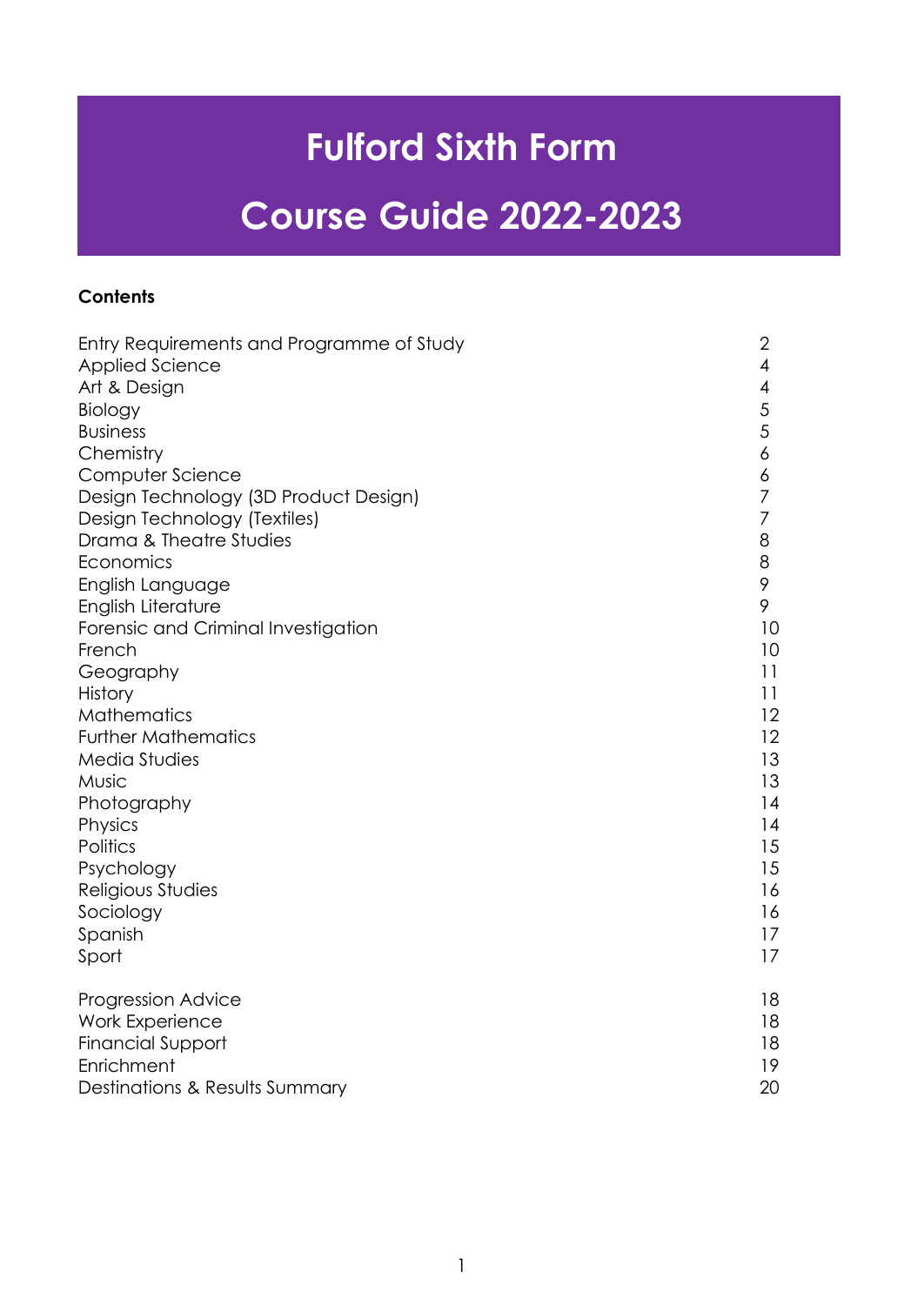# **Fulford Sixth Form**

# **Course Guide 2022-2023**

# **Contents**

| Entry Requirements and Programme of Study | $\overline{2}$ |
|-------------------------------------------|----------------|
| <b>Applied Science</b>                    | 4              |
| Art & Design                              | 4              |
| Biology                                   | 5              |
| <b>Business</b>                           | 5              |
| Chemistry                                 | 6              |
| Computer Science                          | 6              |
| Design Technology (3D Product Design)     | 7              |
| Design Technology (Textiles)              | 7              |
| Drama & Theatre Studies                   | 8              |
| Economics                                 | 8              |
| English Language                          | 9              |
| English Literature                        | 9              |
| Forensic and Criminal Investigation       | 10             |
| French                                    | 10             |
| Geography                                 | 11             |
| <b>History</b>                            | 11             |
| <b>Mathematics</b>                        | 12             |
| <b>Further Mathematics</b>                | 12             |
| Media Studies                             | 13             |
| Music                                     | 13             |
| Photography                               | 14             |
| Physics                                   | 14             |
| Politics                                  | 15             |
| Psychology                                | 15             |
| Religious Studies                         | 16             |
| Sociology                                 | 16             |
| Spanish                                   | 17             |
| Sport                                     | 17             |
| <b>Progression Advice</b>                 | 18             |
| <b>Work Experience</b>                    | 18             |
| <b>Financial Support</b>                  | 18             |
| Enrichment                                | 19             |
| Destinations & Results Summary            | 20             |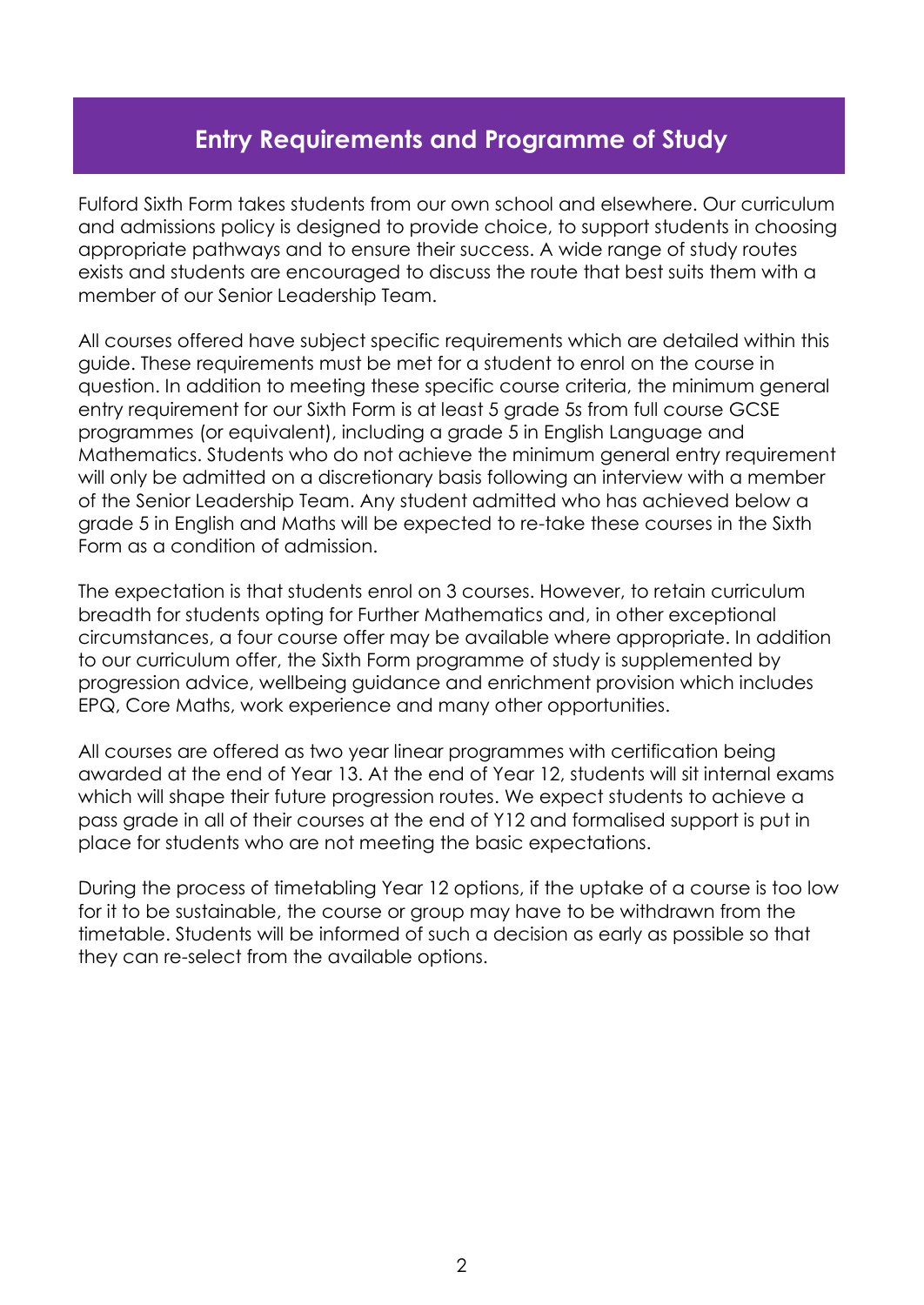# **Entry Requirements and Programme of Study**

Fulford Sixth Form takes students from our own school and elsewhere. Our curriculum and admissions policy is designed to provide choice, to support students in choosing appropriate pathways and to ensure their success. A wide range of study routes exists and students are encouraged to discuss the route that best suits them with a member of our Senior Leadership Team.

All courses offered have subject specific requirements which are detailed within this guide. These requirements must be met for a student to enrol on the course in question. In addition to meeting these specific course criteria, the minimum general entry requirement for our Sixth Form is at least 5 grade 5s from full course GCSE programmes (or equivalent), including a grade 5 in English Language and Mathematics. Students who do not achieve the minimum general entry requirement will only be admitted on a discretionary basis following an interview with a member of the Senior Leadership Team. Any student admitted who has achieved below a grade 5 in English and Maths will be expected to re-take these courses in the Sixth Form as a condition of admission.

The expectation is that students enrol on 3 courses. However, to retain curriculum breadth for students opting for Further Mathematics and, in other exceptional circumstances, a four course offer may be available where appropriate. In addition to our curriculum offer, the Sixth Form programme of study is supplemented by progression advice, wellbeing guidance and enrichment provision which includes EPQ, Core Maths, work experience and many other opportunities.

All courses are offered as two year linear programmes with certification being awarded at the end of Year 13. At the end of Year 12, students will sit internal exams which will shape their future progression routes. We expect students to achieve a pass grade in all of their courses at the end of Y12 and formalised support is put in place for students who are not meeting the basic expectations.

During the process of timetabling Year 12 options, if the uptake of a course is too low for it to be sustainable, the course or group may have to be withdrawn from the timetable. Students will be informed of such a decision as early as possible so that they can re-select from the available options.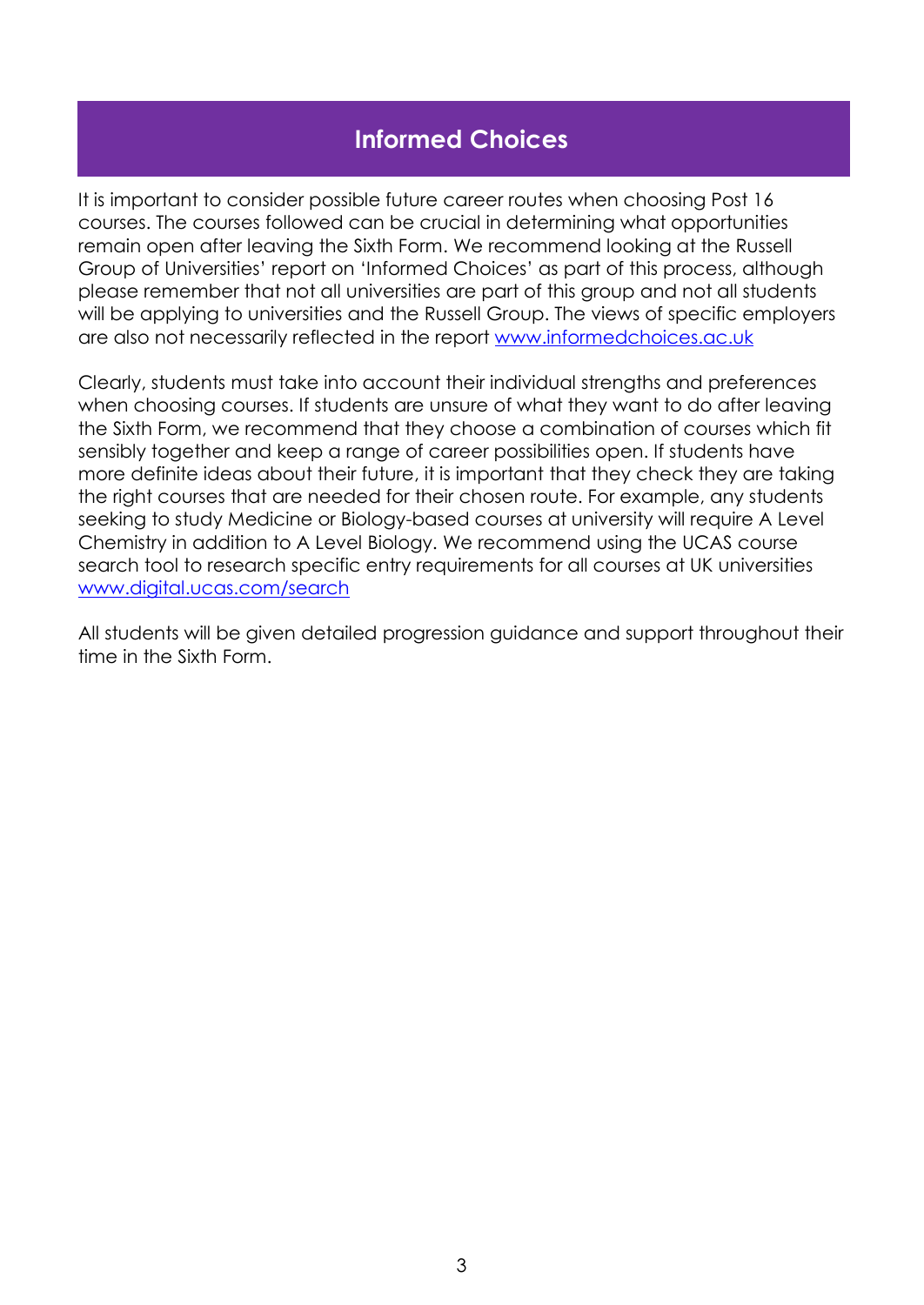# **Informed Choices**

It is important to consider possible future career routes when choosing Post 16 courses. The courses followed can be crucial in determining what opportunities remain open after leaving the Sixth Form. We recommend looking at the Russell Group of Universities' report on 'Informed Choices' as part of this process, although please remember that not all universities are part of this group and not all students will be applying to universities and the Russell Group. The views of specific employers are also not necessarily reflected in the report [www.informedchoices.ac.uk](http://www.informedchoices.ac.uk/)

Clearly, students must take into account their individual strengths and preferences when choosing courses. If students are unsure of what they want to do after leaving the Sixth Form, we recommend that they choose a combination of courses which fit sensibly together and keep a range of career possibilities open. If students have more definite ideas about their future, it is important that they check they are taking the right courses that are needed for their chosen route. For example, any students seeking to study Medicine or Biology-based courses at university will require A Level Chemistry in addition to A Level Biology. We recommend using the UCAS course search tool to research specific entry requirements for all courses at UK universities [www.digital.ucas.com/search](http://www.digital.ucas.com/search)

All students will be given detailed progression guidance and support throughout their time in the Sixth Form.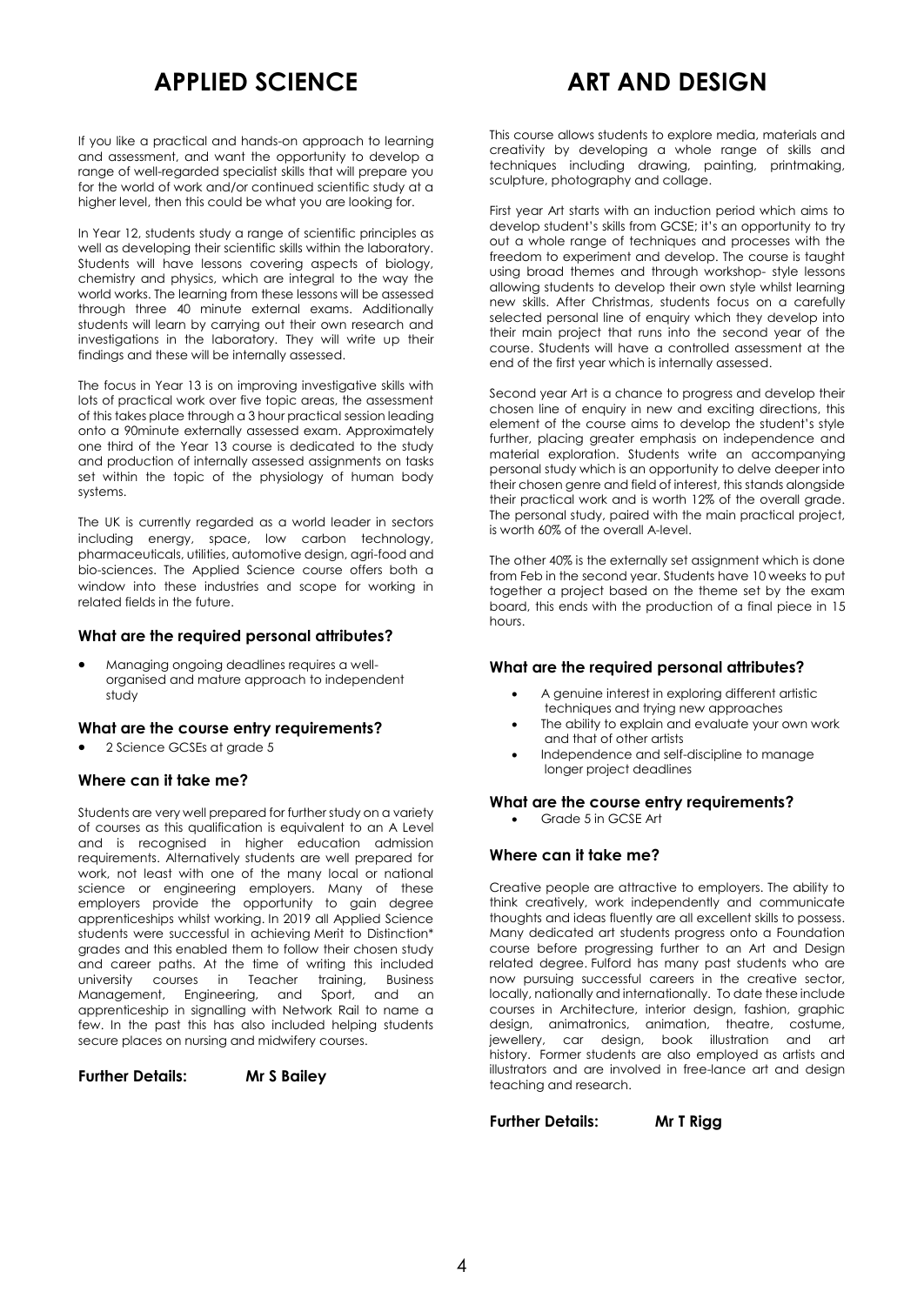# **APPLIED SCIENCE**

# **ART AND DESIGN**

If you like a practical and hands-on approach to learning and assessment, and want the opportunity to develop a range of well-regarded specialist skills that will prepare you for the world of work and/or continued scientific study at a higher level, then this could be what you are looking for.

In Year 12, students study a range of scientific principles as well as developing their scientific skills within the laboratory. Students will have lessons covering aspects of biology, chemistry and physics, which are integral to the way the world works. The learning from these lessons will be assessed through three 40 minute external exams. Additionally students will learn by carrying out their own research and investigations in the laboratory. They will write up their findings and these will be internally assessed.

The focus in Year 13 is on improving investigative skills with lots of practical work over five topic areas, the assessment of this takes place through a 3 hour practical session leading onto a 90minute externally assessed exam. Approximately one third of the Year 13 course is dedicated to the study and production of internally assessed assignments on tasks set within the topic of the physiology of human body systems.

The UK is currently regarded as a world leader in sectors including energy, space, low carbon technology, pharmaceuticals, utilities, automotive design, agri-food and bio-sciences. The Applied Science course offers both a window into these industries and scope for working in related fields in the future.

### **What are the required personal attributes?**

 Managing ongoing deadlines requires a wellorganised and mature approach to independent study

# **What are the course entry requirements?**

2 Science GCSEs at grade 5

# **Where can it take me?**

Students are very well prepared for further study on a variety of courses as this qualification is equivalent to an A Level and is recognised in higher education admission requirements. Alternatively students are well prepared for work, not least with one of the many local or national science or engineering employers. Many of these employers provide the opportunity to gain degree apprenticeships whilst working. In 2019 all Applied Science students were successful in achieving Merit to Distinction\* grades and this enabled them to follow their chosen study and career paths. At the time of writing this included university courses in Teacher training, Business Management, Engineering, and Sport, and an apprenticeship in signalling with Network Rail to name a few. In the past this has also included helping students secure places on nursing and midwifery courses.

**Further Details: Mr S Bailey**

This course allows students to explore media, materials and creativity by developing a whole range of skills and techniques including drawing, painting, printmaking, sculpture, photography and collage.

First year Art starts with an induction period which aims to develop student's skills from GCSE; it's an opportunity to try out a whole range of techniques and processes with the freedom to experiment and develop. The course is taught using broad themes and through workshop- style lessons allowing students to develop their own style whilst learning new skills. After Christmas, students focus on a carefully selected personal line of enquiry which they develop into their main project that runs into the second year of the course. Students will have a controlled assessment at the end of the first year which is internally assessed.

Second year Art is a chance to progress and develop their chosen line of enquiry in new and exciting directions, this element of the course aims to develop the student's style further, placing greater emphasis on independence and material exploration. Students write an accompanying personal study which is an opportunity to delve deeper into their chosen genre and field of interest, this stands alongside their practical work and is worth 12% of the overall grade. The personal study, paired with the main practical project, is worth 60% of the overall A-level.

The other 40% is the externally set assignment which is done from Feb in the second year. Students have 10 weeks to put together a project based on the theme set by the exam board, this ends with the production of a final piece in 15 hours.

# **What are the required personal attributes?**

- A genuine interest in exploring different artistic techniques and trying new approaches
- The ability to explain and evaluate your own work and that of other artists
- Independence and self-discipline to manage longer project deadlines

# **What are the course entry requirements?**

Grade 5 in GCSE Art

# **Where can it take me?**

Creative people are attractive to employers. The ability to think creatively, work independently and communicate thoughts and ideas fluently are all excellent skills to possess. Many dedicated art students progress onto a Foundation course before progressing further to an Art and Design related degree. Fulford has many past students who are now pursuing successful careers in the creative sector, locally, nationally and internationally. To date these include courses in Architecture, interior design, fashion, graphic design, animatronics, animation, theatre, costume, jewellery, car design, book illustration and art history. Former students are also employed as artists and illustrators and are involved in free-lance art and design teaching and research.

**Further Details: Mr T Rigg**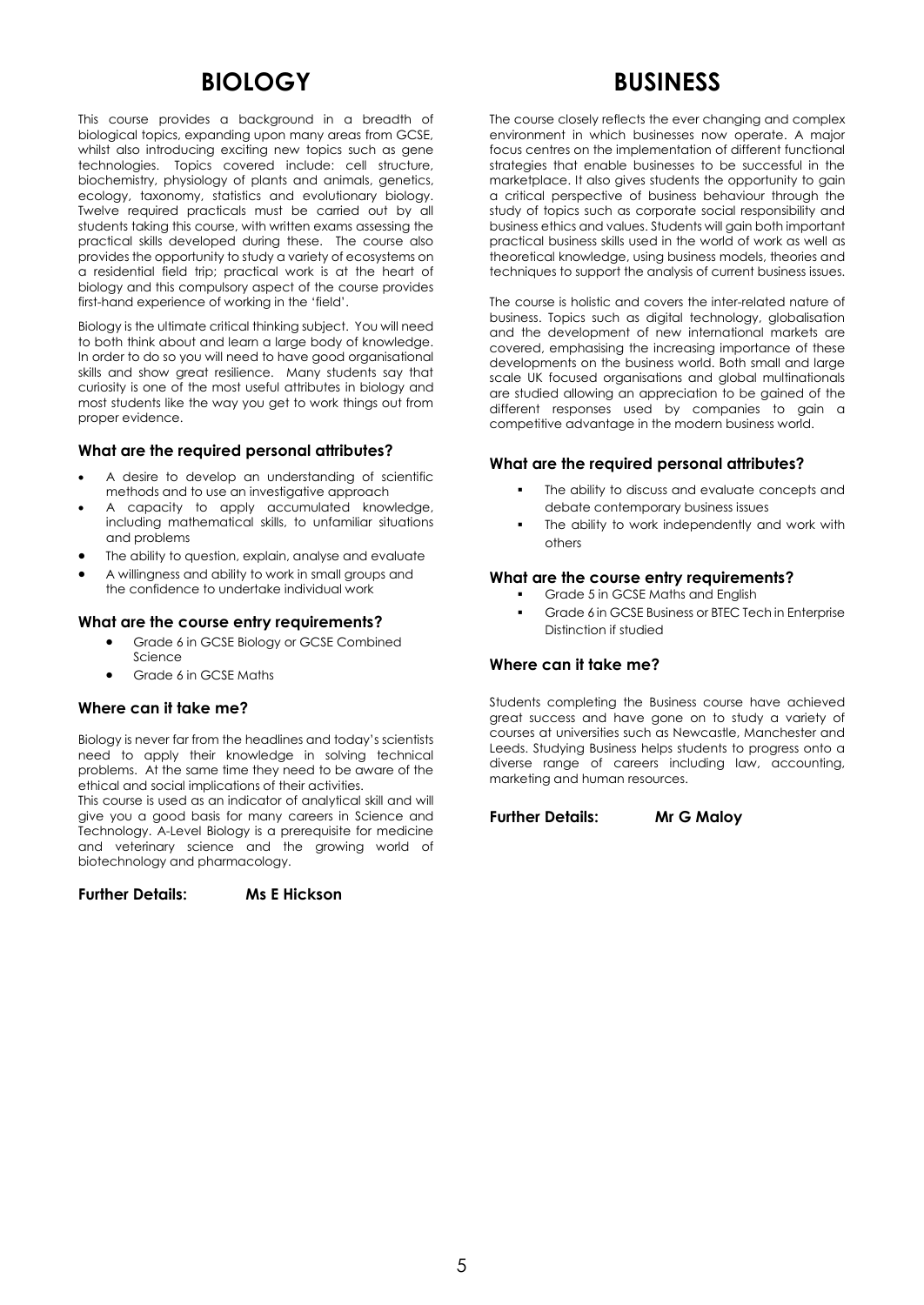# **BIOLOGY**

This course provides a background in a breadth of biological topics, expanding upon many areas from GCSE, whilst also introducing exciting new topics such as gene technologies. Topics covered include: cell structure, biochemistry, physiology of plants and animals, genetics, ecology, taxonomy, statistics and evolutionary biology. Twelve required practicals must be carried out by all students taking this course, with written exams assessing the practical skills developed during these. The course also provides the opportunity to study a variety of ecosystems on a residential field trip; practical work is at the heart of biology and this compulsory aspect of the course provides first-hand experience of working in the 'field'.

Biology is the ultimate critical thinking subject. You will need to both think about and learn a large body of knowledge. In order to do so you will need to have good organisational skills and show great resilience. Many students say that curiosity is one of the most useful attributes in biology and most students like the way you get to work things out from proper evidence.

# **What are the required personal attributes?**

- A desire to develop an understanding of scientific methods and to use an investigative approach
- A capacity to apply accumulated knowledge, including mathematical skills, to unfamiliar situations and problems
- The ability to question, explain, analyse and evaluate
- A willingness and ability to work in small groups and the confidence to undertake individual work

# **What are the course entry requirements?**

- Grade 6 in GCSE Biology or GCSE Combined Science
- Grade 6 in GCSE Maths

# **Where can it take me?**

Biology is never far from the headlines and today's scientists need to apply their knowledge in solving technical problems. At the same time they need to be aware of the ethical and social implications of their activities.

This course is used as an indicator of analytical skill and will give you a good basis for many careers in Science and Technology. A-Level Biology is a prerequisite for medicine and veterinary science and the growing world of biotechnology and pharmacology.

**Further Details: Ms E Hickson**

# **BUSINESS**

The course closely reflects the ever changing and complex environment in which businesses now operate. A major focus centres on the implementation of different functional strategies that enable businesses to be successful in the marketplace. It also gives students the opportunity to gain a critical perspective of business behaviour through the study of topics such as corporate social responsibility and business ethics and values. Students will gain both important practical business skills used in the world of work as well as theoretical knowledge, using business models, theories and techniques to support the analysis of current business issues.

The course is holistic and covers the inter-related nature of business. Topics such as digital technology, globalisation and the development of new international markets are covered, emphasising the increasing importance of these developments on the business world. Both small and large scale UK focused organisations and global multinationals are studied allowing an appreciation to be gained of the different responses used by companies to gain a competitive advantage in the modern business world.

# **What are the required personal attributes?**

- The ability to discuss and evaluate concepts and debate contemporary business issues
- The ability to work independently and work with others

# **What are the course entry requirements?**

- Grade 5 in GCSE Maths and English
- Grade 6 in GCSE Business or BTEC Tech in Enterprise Distinction if studied

# **Where can it take me?**

Students completing the Business course have achieved great success and have gone on to study a variety of courses at universities such as Newcastle, Manchester and Leeds. Studying Business helps students to progress onto a diverse range of careers including law, accounting, marketing and human resources.

**Further Details: Mr G Maloy**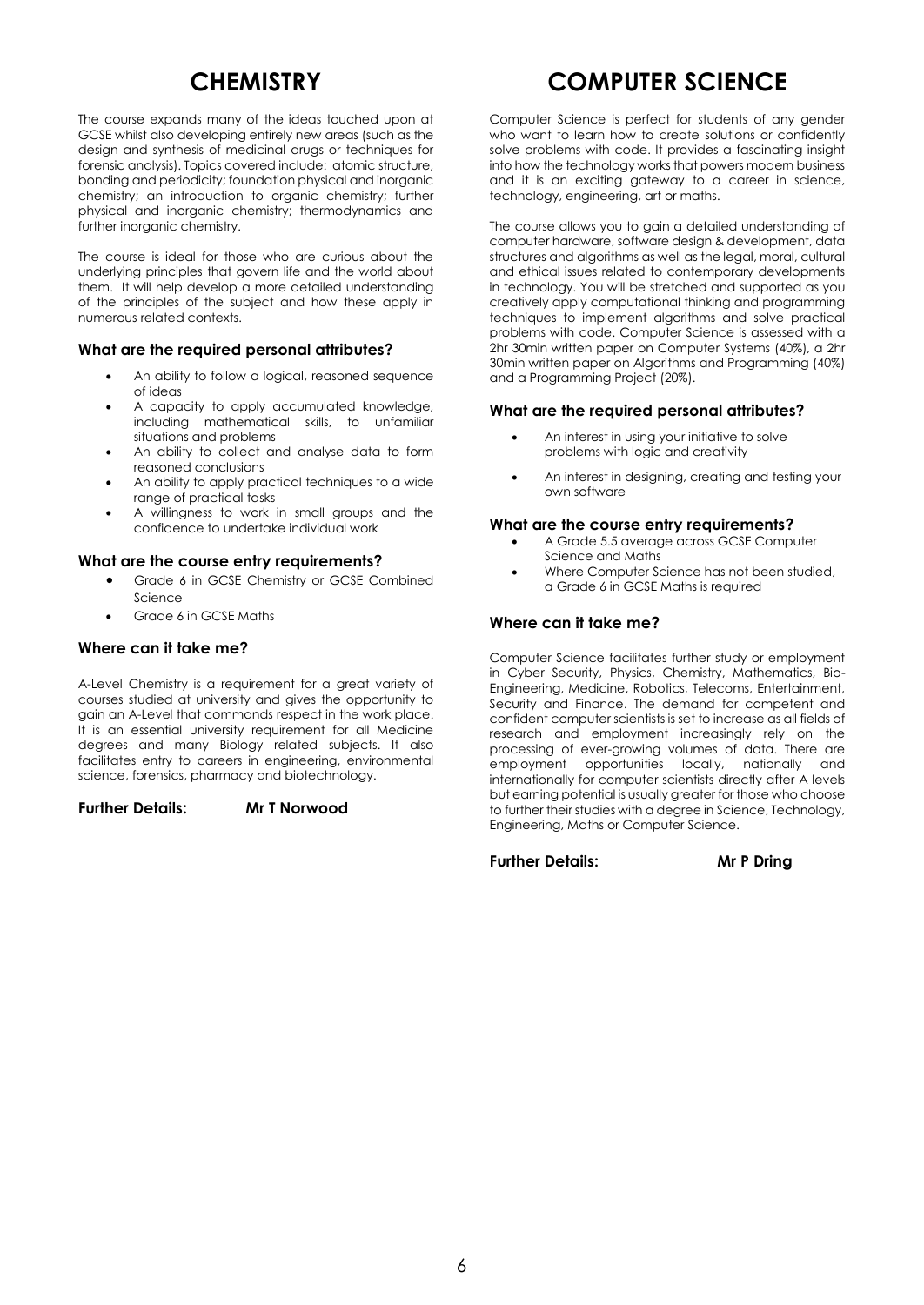# **CHEMISTRY**

The course expands many of the ideas touched upon at GCSE whilst also developing entirely new areas (such as the design and synthesis of medicinal drugs or techniques for forensic analysis). Topics covered include: atomic structure, bonding and periodicity; foundation physical and inorganic chemistry; an introduction to organic chemistry; further physical and inorganic chemistry; thermodynamics and further inorganic chemistry.

The course is ideal for those who are curious about the underlying principles that govern life and the world about them. It will help develop a more detailed understanding of the principles of the subject and how these apply in numerous related contexts.

### **What are the required personal attributes?**

- An ability to follow a logical, reasoned sequence of ideas
- A capacity to apply accumulated knowledge, including mathematical skills, to unfamiliar situations and problems
- An ability to collect and analyse data to form reasoned conclusions
- An ability to apply practical techniques to a wide range of practical tasks
- A willingness to work in small groups and the confidence to undertake individual work

### **What are the course entry requirements?**

- Grade 6 in GCSE Chemistry or GCSE Combined Science
- Grade 6 in GCSE Maths

### **Where can it take me?**

A-Level Chemistry is a requirement for a great variety of courses studied at university and gives the opportunity to gain an A-Level that commands respect in the work place. It is an essential university requirement for all Medicine degrees and many Biology related subjects. It also facilitates entry to careers in engineering, environmental science, forensics, pharmacy and biotechnology.

**Further Details: Mr T Norwood**

# **COMPUTER SCIENCE**

Computer Science is perfect for students of any gender who want to learn how to create solutions or confidently solve problems with code. It provides a fascinating insight into how the technology works that powers modern business and it is an exciting gateway to a career in science, technology, engineering, art or maths.

The course allows you to gain a detailed understanding of computer hardware, software design & development, data structures and algorithms as well as the legal, moral, cultural and ethical issues related to contemporary developments in technology. You will be stretched and supported as you creatively apply computational thinking and programming techniques to implement algorithms and solve practical problems with code. Computer Science is assessed with a 2hr 30min written paper on Computer Systems (40%), a 2hr 30min written paper on Algorithms and Programming (40%) and a Programming Project (20%).

### **What are the required personal attributes?**

- An interest in using your initiative to solve problems with logic and creativity
- An interest in designing, creating and testing your own software

#### **What are the course entry requirements?**

- A Grade 5.5 average across GCSE Computer Science and Maths
- Where Computer Science has not been studied, a Grade 6 in GCSE Maths is required

# **Where can it take me?**

Computer Science facilitates further study or employment in Cyber Security, Physics, Chemistry, Mathematics, Bio-Engineering, Medicine, Robotics, Telecoms, Entertainment, Security and Finance. The demand for competent and confident computer scientists is set to increase as all fields of research and employment increasingly rely on the processing of ever-growing volumes of data. There are employment opportunities locally, nationally and internationally for computer scientists directly after A levels but earning potential is usually greater for those who choose to further their studies with a degree in Science, Technology, Engineering, Maths or Computer Science.

**Further Details: Mr P Dring**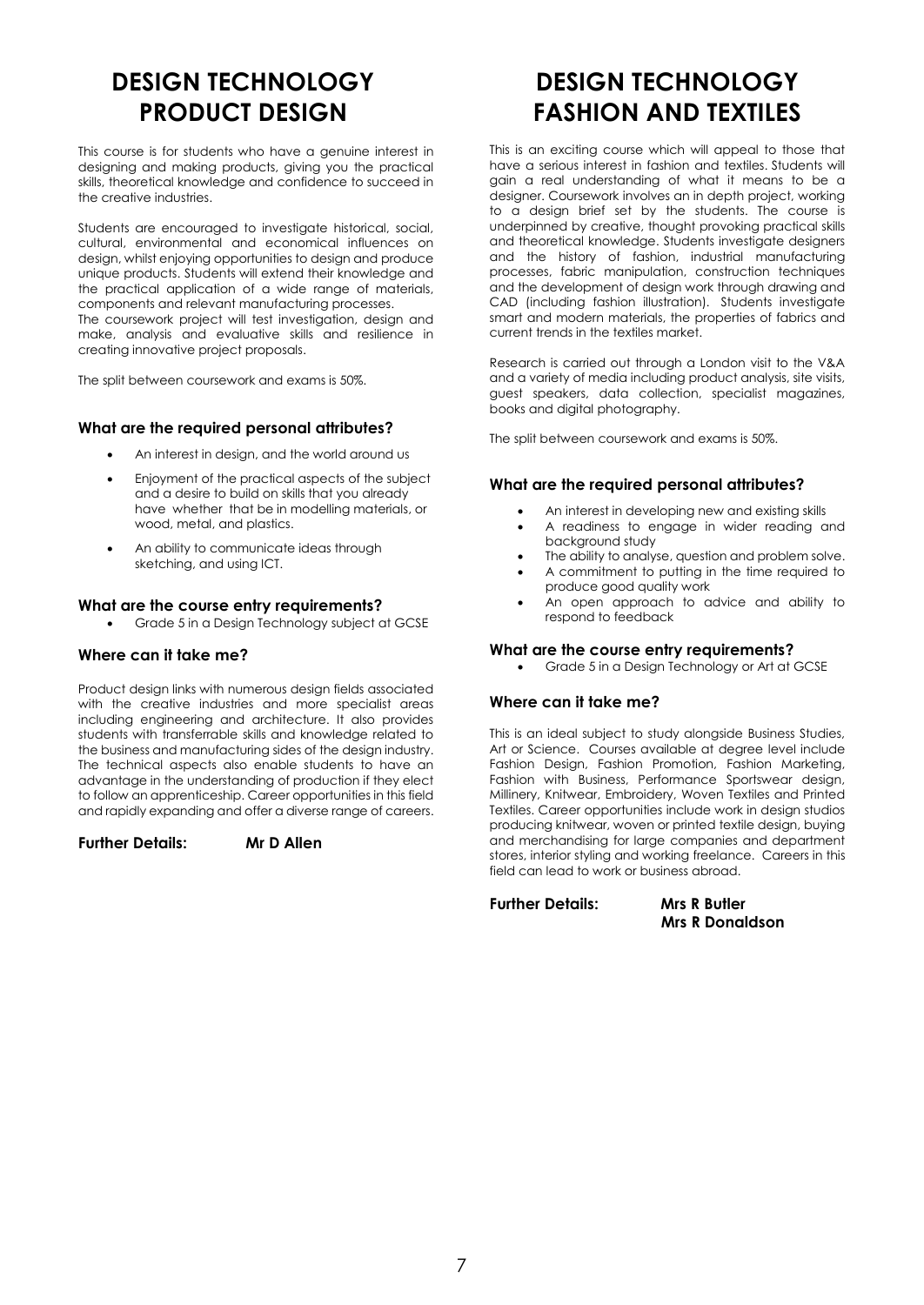# **DESIGN TECHNOLOGY PRODUCT DESIGN**

This course is for students who have a genuine interest in designing and making products, giving you the practical skills, theoretical knowledge and confidence to succeed in the creative industries.

Students are encouraged to investigate historical, social, cultural, environmental and economical influences on design, whilst enjoying opportunities to design and produce unique products. Students will extend their knowledge and the practical application of a wide range of materials, components and relevant manufacturing processes. The coursework project will test investigation, design and make, analysis and evaluative skills and resilience in creating innovative project proposals.

The split between coursework and exams is 50%.

# **What are the required personal attributes?**

- An interest in design, and the world around us
- Enjoyment of the practical aspects of the subject and a desire to build on skills that you already have whether that be in modelling materials, or wood, metal, and plastics.
- An ability to communicate ideas through sketching, and using ICT.

### **What are the course entry requirements?**

Grade 5 in a Design Technology subject at GCSE

### **Where can it take me?**

Product design links with numerous design fields associated with the creative industries and more specialist areas including engineering and architecture. It also provides students with transferrable skills and knowledge related to the business and manufacturing sides of the design industry. The technical aspects also enable students to have an advantage in the understanding of production if they elect to follow an apprenticeship. Career opportunities in this field and rapidly expanding and offer a diverse range of careers.

**Further Details: Mr D Allen**

# **DESIGN TECHNOLOGY FASHION AND TEXTILES**

This is an exciting course which will appeal to those that have a serious interest in fashion and textiles. Students will gain a real understanding of what it means to be a designer. Coursework involves an in depth project, working to a design brief set by the students. The course is underpinned by creative, thought provoking practical skills and theoretical knowledge. Students investigate designers and the history of fashion, industrial manufacturing processes, fabric manipulation, construction techniques and the development of design work through drawing and CAD (including fashion illustration). Students investigate smart and modern materials, the properties of fabrics and current trends in the textiles market.

Research is carried out through a London visit to the V&A and a variety of media including product analysis, site visits, guest speakers, data collection, specialist magazines, books and digital photography.

The split between coursework and exams is 50%.

# **What are the required personal attributes?**

- An interest in developing new and existing skills
- A readiness to engage in wider reading and background study
- The ability to analyse, question and problem solve.
- A commitment to putting in the time required to produce good quality work
- An open approach to advice and ability to respond to feedback

### **What are the course entry requirements?**

Grade 5 in a Design Technology or Art at GCSE

# **Where can it take me?**

This is an ideal subject to study alongside Business Studies, Art or Science. Courses available at degree level include Fashion Design, Fashion Promotion, Fashion Marketing, Fashion with Business, Performance Sportswear design, Millinery, Knitwear, Embroidery, Woven Textiles and Printed Textiles. Career opportunities include work in design studios producing knitwear, woven or printed textile design, buying and merchandising for large companies and department stores, interior styling and working freelance. Careers in this field can lead to work or business abroad.

**Further Details: Mrs R Butler**

**Mrs R Donaldson**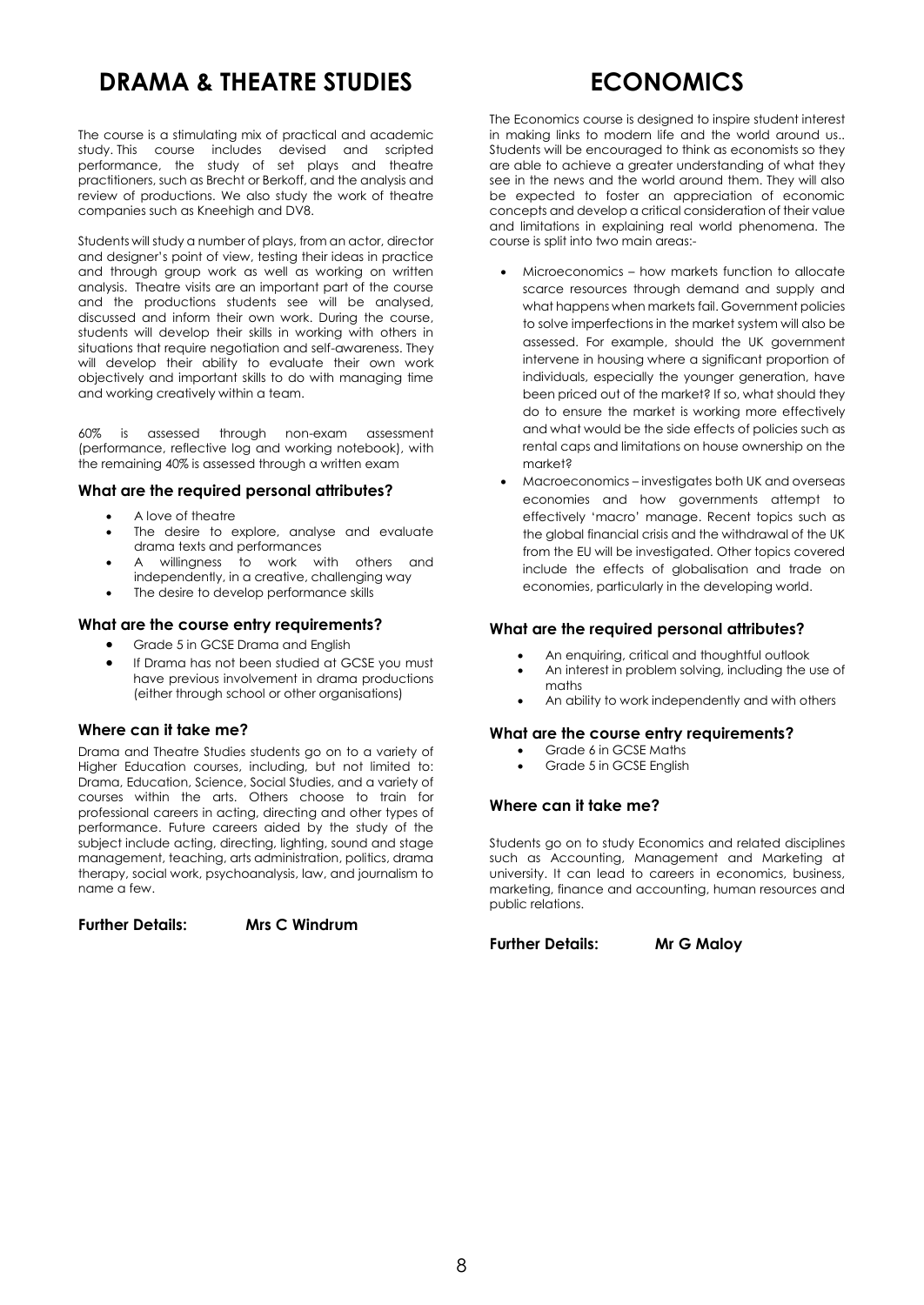# **DRAMA & THEATRE STUDIES**

The course is a stimulating mix of practical and academic study. This course includes devised and scripted performance, the study of set plays and theatre practitioners, such as Brecht or Berkoff, and the analysis and review of productions. We also study the work of theatre companies such as Kneehigh and DV8.

Students will study a number of plays, from an actor, director and designer's point of view, testing their ideas in practice and through group work as well as working on written analysis. Theatre visits are an important part of the course and the productions students see will be analysed, discussed and inform their own work. During the course, students will develop their skills in working with others in situations that require negotiation and self-awareness. They will develop their ability to evaluate their own work objectively and important skills to do with managing time and working creatively within a team.

60% is assessed through non-exam assessment (performance, reflective log and working notebook), with the remaining 40% is assessed through a written exam

#### **What are the required personal attributes?**

- A love of theatre
- The desire to explore, analyse and evaluate drama texts and performances
- A willingness to work with others and independently, in a creative, challenging way
- The desire to develop performance skills

#### **What are the course entry requirements?**

- Grade 5 in GCSE Drama and English
- If Drama has not been studied at GCSE you must have previous involvement in drama productions (either through school or other organisations)

#### **Where can it take me?**

Drama and Theatre Studies students go on to a variety of Higher Education courses, including, but not limited to: Drama, Education, Science, Social Studies, and a variety of courses within the arts. Others choose to train for professional careers in acting, directing and other types of performance. Future careers aided by the study of the subject include acting, directing, lighting, sound and stage management, teaching, arts administration, politics, drama therapy, social work, psychoanalysis, law, and journalism to name a few.

# **Further Details: Mrs C Windrum**

# **ECONOMICS**

The Economics course is designed to inspire student interest in making links to modern life and the world around us.. Students will be encouraged to think as economists so they are able to achieve a greater understanding of what they see in the news and the world around them. They will also be expected to foster an appreciation of economic concepts and develop a critical consideration of their value and limitations in explaining real world phenomena. The course is split into two main areas:-

- Microeconomics how markets function to allocate scarce resources through demand and supply and what happens when markets fail. Government policies to solve imperfections in the market system will also be assessed. For example, should the UK government intervene in housing where a significant proportion of individuals, especially the younger generation, have been priced out of the market? If so, what should they do to ensure the market is working more effectively and what would be the side effects of policies such as rental caps and limitations on house ownership on the market?
- Macroeconomics investigates both UK and overseas economies and how governments attempt to effectively 'macro' manage. Recent topics such as the global financial crisis and the withdrawal of the UK from the EU will be investigated. Other topics covered include the effects of globalisation and trade on economies, particularly in the developing world.

# **What are the required personal attributes?**

- An enquiring, critical and thoughtful outlook
- An interest in problem solving, including the use of maths An ability to work independently and with others

# **What are the course entry requirements?**

- Grade 6 in GCSE Maths
- Grade 5 in GCSE English

# **Where can it take me?**

Students go on to study Economics and related disciplines such as Accounting, Management and Marketing at university. It can lead to careers in economics, business, marketing, finance and accounting, human resources and public relations.

**Further Details: Mr G Maloy**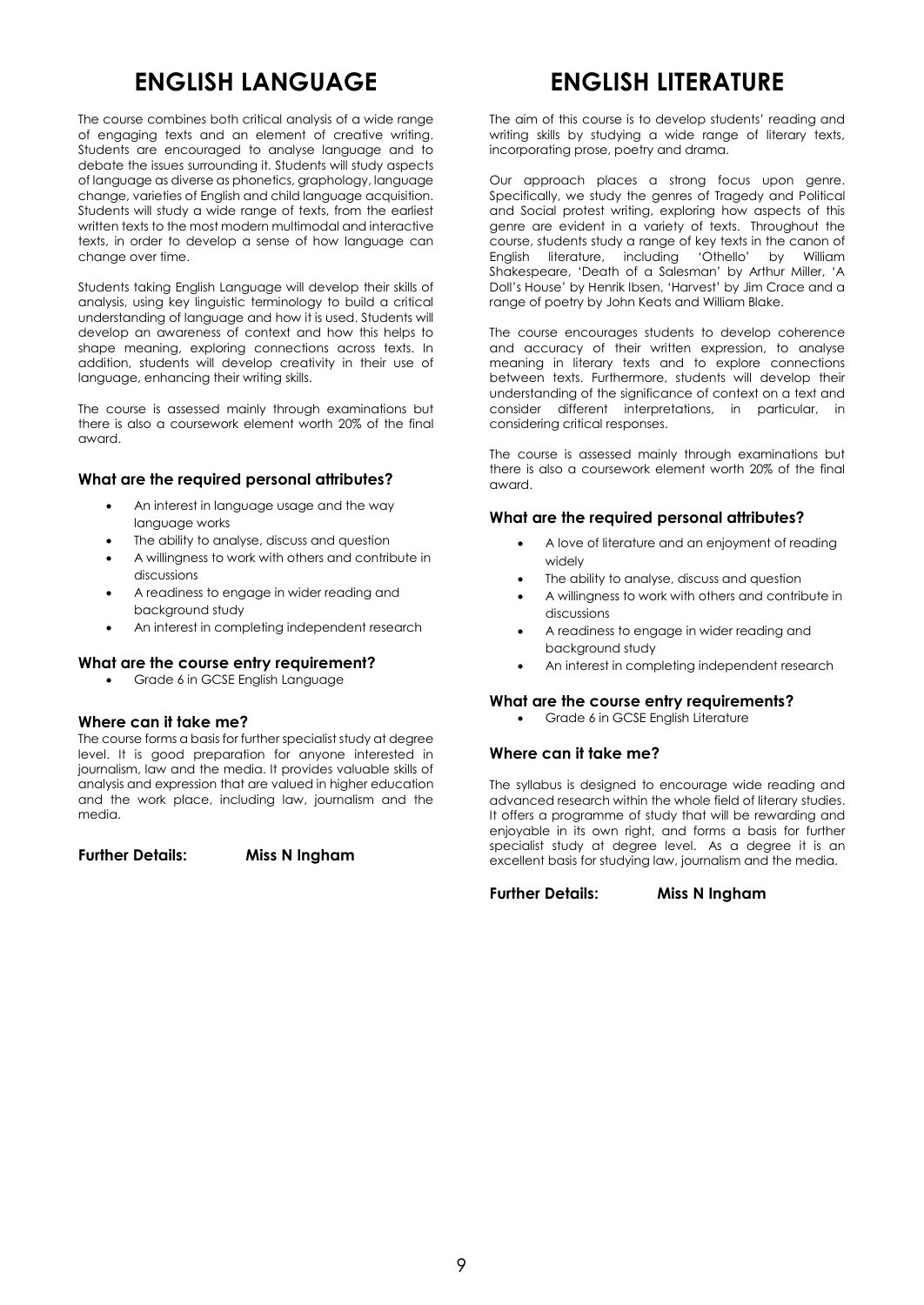# **ENGLISH LANGUAGE**

The course combines both critical analysis of a wide range of engaging texts and an element of creative writing. Students are encouraged to analyse language and to debate the issues surrounding it. Students will study aspects of language as diverse as phonetics, graphology, language change, varieties of English and child language acquisition. Students will study a wide range of texts, from the earliest written texts to the most modern multimodal and interactive texts, in order to develop a sense of how language can change over time.

Students taking English Language will develop their skills of analysis, using key linguistic terminology to build a critical understanding of language and how it is used. Students will develop an awareness of context and how this helps to shape meaning, exploring connections across texts. In addition, students will develop creativity in their use of language, enhancing their writing skills.

The course is assessed mainly through examinations but there is also a coursework element worth 20% of the final award.

# **What are the required personal attributes?**

- An interest in language usage and the way language works
- The ability to analyse, discuss and question
- A willingness to work with others and contribute in discussions
- A readiness to engage in wider reading and background study
- An interest in completing independent research

# **What are the course entry requirement?**

Grade 6 in GCSE English Language

# **Where can it take me?**

The course forms a basis for further specialist study at degree level. It is good preparation for anyone interested in journalism, law and the media. It provides valuable skills of analysis and expression that are valued in higher education and the work place, including law, journalism and the media.

**Further Details: Miss N Ingham**

# **ENGLISH LITERATURE**

The aim of this course is to develop students' reading and writing skills by studying a wide range of literary texts, incorporating prose, poetry and drama.

Our approach places a strong focus upon genre. Specifically, we study the genres of Tragedy and Political and Social protest writing, exploring how aspects of this genre are evident in a variety of texts. Throughout the course, students study a range of key texts in the canon of English literature, including 'Othello' by William Shakespeare, 'Death of a Salesman' by Arthur Miller, 'A Doll's House' by Henrik Ibsen, 'Harvest' by Jim Crace and a range of poetry by John Keats and William Blake.

The course encourages students to develop coherence and accuracy of their written expression, to analyse meaning in literary texts and to explore connections between texts. Furthermore, students will develop their understanding of the significance of context on a text and consider different interpretations, in particular, in considering critical responses.

The course is assessed mainly through examinations but there is also a coursework element worth 20% of the final award.

# **What are the required personal attributes?**

- A love of literature and an enjoyment of reading widely
- The ability to analyse, discuss and question
- A willingness to work with others and contribute in discussions
- A readiness to engage in wider reading and background study
- An interest in completing independent research

# **What are the course entry requirements?**

Grade 6 in GCSE English Literature

# **Where can it take me?**

The syllabus is designed to encourage wide reading and advanced research within the whole field of literary studies. It offers a programme of study that will be rewarding and enjoyable in its own right, and forms a basis for further specialist study at degree level. As a degree it is an excellent basis for studying law, journalism and the media.

**Further Details: Miss N Ingham**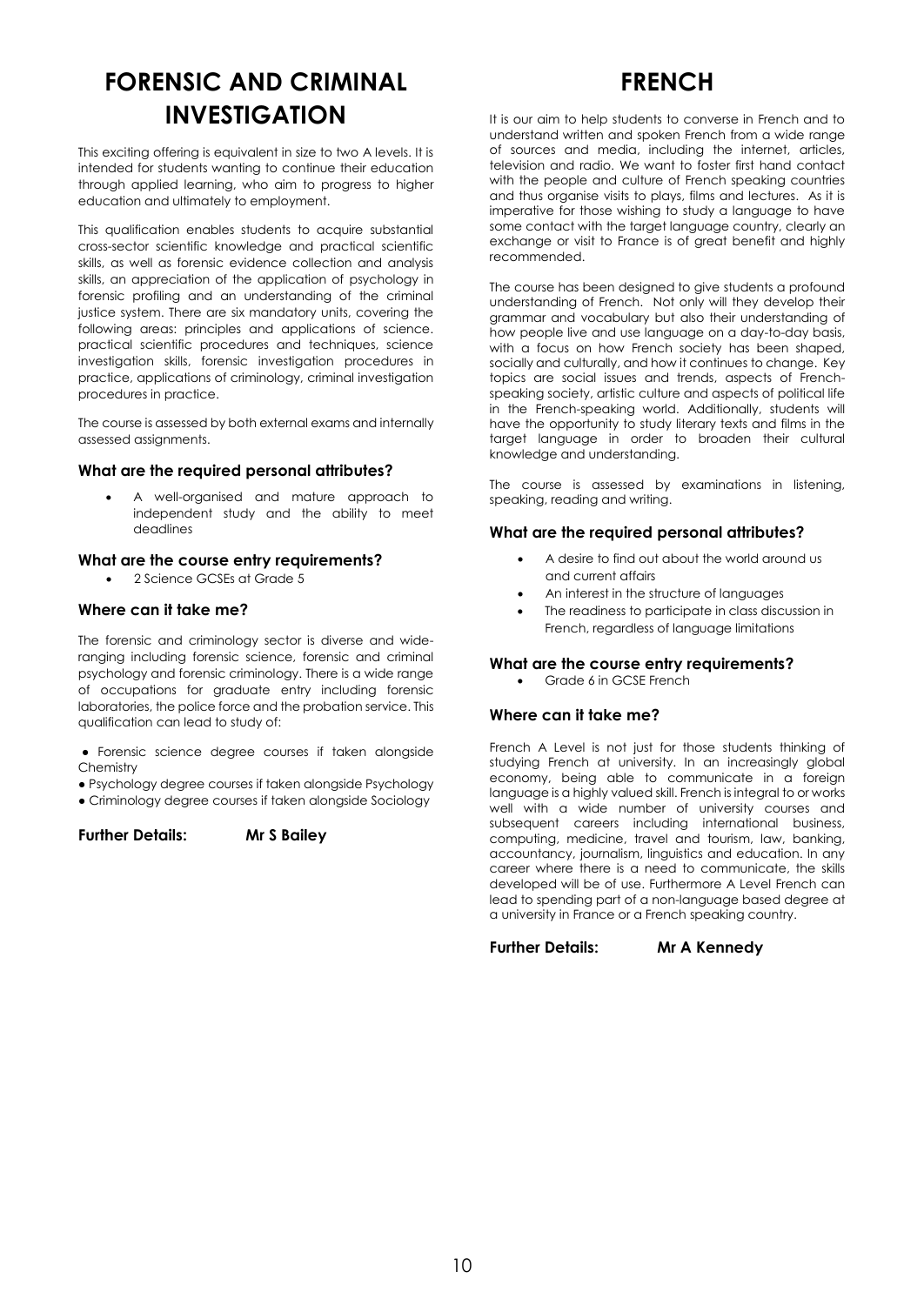# **FORENSIC AND CRIMINAL INVESTIGATION**

This exciting offering is equivalent in size to two A levels. It is intended for students wanting to continue their education through applied learning, who aim to progress to higher education and ultimately to employment.

This qualification enables students to acquire substantial cross-sector scientific knowledge and practical scientific skills, as well as forensic evidence collection and analysis skills, an appreciation of the application of psychology in forensic profiling and an understanding of the criminal justice system. There are six mandatory units, covering the following areas: principles and applications of science. practical scientific procedures and techniques, science investigation skills, forensic investigation procedures in practice, applications of criminology, criminal investigation procedures in practice.

The course is assessed by both external exams and internally assessed assignments.

### **What are the required personal attributes?**

 A well-organised and mature approach to independent study and the ability to meet deadlines

### **What are the course entry requirements?**

2 Science GCSEs at Grade 5

# **Where can it take me?**

The forensic and criminology sector is diverse and wideranging including forensic science, forensic and criminal psychology and forensic criminology. There is a wide range of occupations for graduate entry including forensic laboratories, the police force and the probation service. This qualification can lead to study of:

● Forensic science degree courses if taken alongside **Chemistry** 

- Psychology degree courses if taken alongside Psychology
- Criminology degree courses if taken alongside Sociology

#### **Further Details: Mr S Bailey**

# **FRENCH**

It is our aim to help students to converse in French and to understand written and spoken French from a wide range of sources and media, including the internet, articles, television and radio. We want to foster first hand contact with the people and culture of French speaking countries and thus organise visits to plays, films and lectures. As it is imperative for those wishing to study a language to have some contact with the target language country, clearly an exchange or visit to France is of great benefit and highly recommended.

The course has been designed to give students a profound understanding of French. Not only will they develop their grammar and vocabulary but also their understanding of how people live and use language on a day-to-day basis, with a focus on how French society has been shaped, socially and culturally, and how it continues to change. Key topics are social issues and trends, aspects of Frenchspeaking society, artistic culture and aspects of political life in the French-speaking world. Additionally, students will have the opportunity to study literary texts and films in the target language in order to broaden their cultural knowledge and understanding.

The course is assessed by examinations in listening, speaking, reading and writing.

#### **What are the required personal attributes?**

- A desire to find out about the world around us and current affairs
- An interest in the structure of languages
- The readiness to participate in class discussion in French, regardless of language limitations

#### **What are the course entry requirements?**

Grade 6 in GCSE French

#### **Where can it take me?**

French A Level is not just for those students thinking of studying French at university. In an increasingly global economy, being able to communicate in a foreign language is a highly valued skill. French is integral to or works well with a wide number of university courses and subsequent careers including international business, computing, medicine, travel and tourism, law, banking, accountancy, journalism, linguistics and education. In any career where there is a need to communicate, the skills developed will be of use. Furthermore A Level French can lead to spending part of a non-language based degree at a university in France or a French speaking country.

**Further Details: Mr A Kennedy**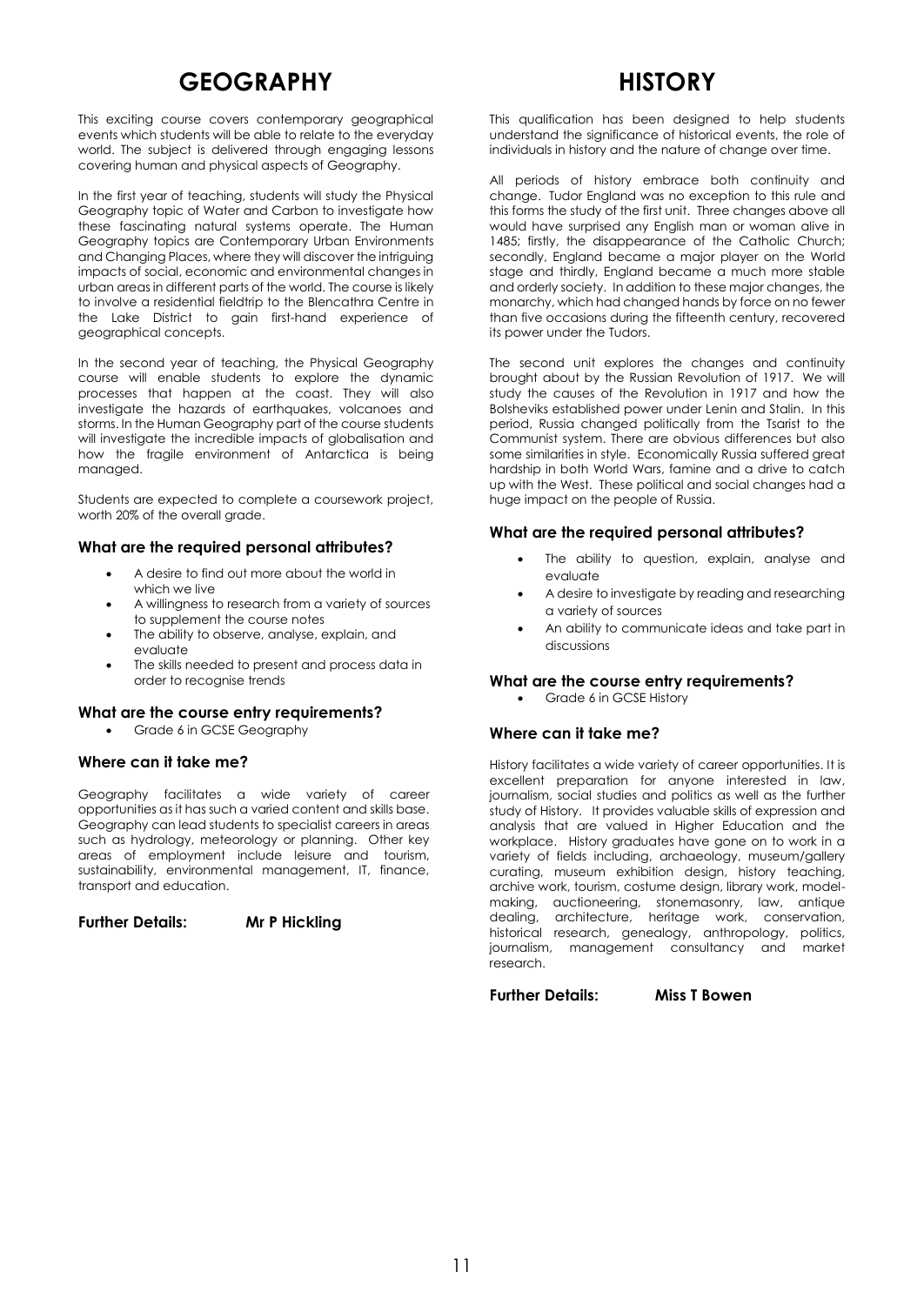# **GEOGRAPHY**

This exciting course covers contemporary geographical events which students will be able to relate to the everyday world. The subject is delivered through engaging lessons covering human and physical aspects of Geography.

In the first year of teaching, students will study the Physical Geography topic of Water and Carbon to investigate how these fascinating natural systems operate. The Human Geography topics are Contemporary Urban Environments and Changing Places, where they will discover the intriguing impacts of social, economic and environmental changes in urban areas in different parts of the world. The course is likely to involve a residential fieldtrip to the Blencathra Centre in the Lake District to gain first-hand experience of geographical concepts.

In the second year of teaching, the Physical Geography course will enable students to explore the dynamic processes that happen at the coast. They will also investigate the hazards of earthquakes, volcanoes and storms. In the Human Geography part of the course students will investigate the incredible impacts of globalisation and how the fragile environment of Antarctica is being managed.

Students are expected to complete a coursework project, worth 20% of the overall grade.

# **What are the required personal attributes?**

- A desire to find out more about the world in which we live
- A willingness to research from a variety of sources to supplement the course notes
- The ability to observe, analyse, explain, and evaluate
- The skills needed to present and process data in order to recognise trends

#### **What are the course entry requirements?**

Grade 6 in GCSE Geography

#### **Where can it take me?**

Geography facilitates a wide variety of career opportunities as it has such a varied content and skills base. Geography can lead students to specialist careers in areas such as hydrology, meteorology or planning. Other key areas of employment include leisure and tourism, sustainability, environmental management, IT, finance, transport and education.

**Further Details: Mr P Hickling** 

# **HISTORY**

This qualification has been designed to help students understand the significance of historical events, the role of individuals in history and the nature of change over time.

All periods of history embrace both continuity and change. Tudor England was no exception to this rule and this forms the study of the first unit. Three changes above all would have surprised any English man or woman alive in 1485; firstly, the disappearance of the Catholic Church; secondly, England became a major player on the World stage and thirdly, England became a much more stable and orderly society. In addition to these major changes, the monarchy, which had changed hands by force on no fewer than five occasions during the fifteenth century, recovered its power under the Tudors.

The second unit explores the changes and continuity brought about by the Russian Revolution of 1917. We will study the causes of the Revolution in 1917 and how the Bolsheviks established power under Lenin and Stalin. In this period, Russia changed politically from the Tsarist to the Communist system. There are obvious differences but also some similarities in style. Economically Russia suffered great hardship in both World Wars, famine and a drive to catch up with the West. These political and social changes had a huge impact on the people of Russia.

### **What are the required personal attributes?**

- The ability to question, explain, analyse and evaluate
- A desire to investigate by reading and researching a variety of sources
- An ability to communicate ideas and take part in discussions

#### **What are the course entry requirements?**

Grade 6 in GCSE History

# **Where can it take me?**

History facilitates a wide variety of career opportunities. It is excellent preparation for anyone interested in law, journalism, social studies and politics as well as the further study of History. It provides valuable skills of expression and analysis that are valued in Higher Education and the workplace. History graduates have gone on to work in a variety of fields including, archaeology, museum/gallery curating, museum exhibition design, history teaching, archive work, tourism, costume design, library work, modelmaking, auctioneering, stonemasonry, law, antique dealing, architecture, heritage work, conservation, historical research, genealogy, anthropology, politics, journalism, management consultancy and market research.

**Further Details: Miss T Bowen**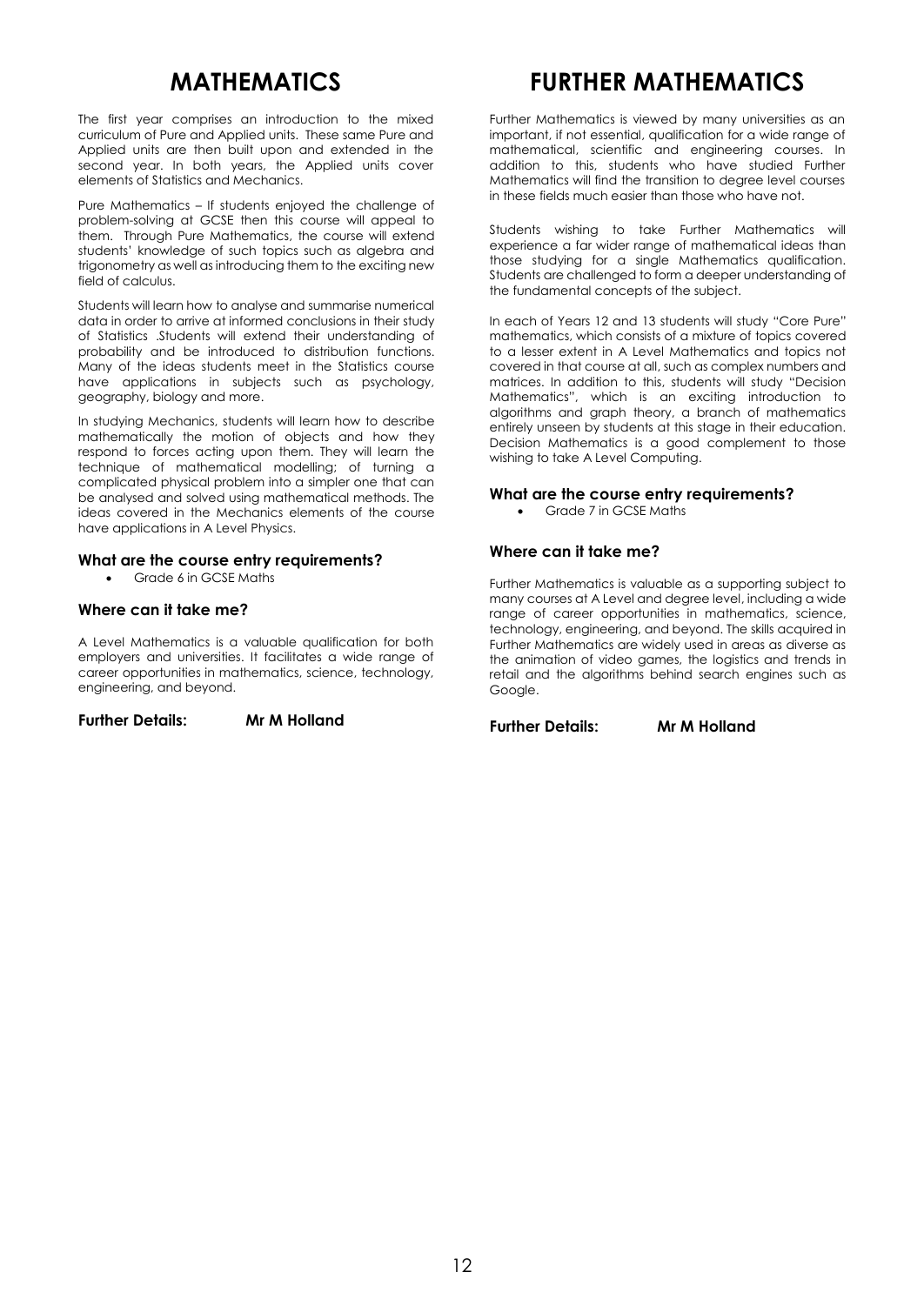# **MATHEMATICS**

The first year comprises an introduction to the mixed curriculum of Pure and Applied units. These same Pure and Applied units are then built upon and extended in the second year. In both years, the Applied units cover elements of Statistics and Mechanics.

Pure Mathematics – If students enjoyed the challenge of problem-solving at GCSE then this course will appeal to them. Through Pure Mathematics, the course will extend students' knowledge of such topics such as algebra and trigonometry as well as introducing them to the exciting new field of calculus.

Students will learn how to analyse and summarise numerical data in order to arrive at informed conclusions in their study of Statistics .Students will extend their understanding of probability and be introduced to distribution functions. Many of the ideas students meet in the Statistics course have applications in subjects such as psychology, geography, biology and more.

In studying Mechanics, students will learn how to describe mathematically the motion of objects and how they respond to forces acting upon them. They will learn the technique of mathematical modelling; of turning a complicated physical problem into a simpler one that can be analysed and solved using mathematical methods. The ideas covered in the Mechanics elements of the course have applications in A Level Physics.

### **What are the course entry requirements?**

Grade 6 in GCSE Maths

# **Where can it take me?**

A Level Mathematics is a valuable qualification for both employers and universities. It facilitates a wide range of career opportunities in mathematics, science, technology, engineering, and beyond.

**Further Details: Mr M Holland**

# **FURTHER MATHEMATICS**

Further Mathematics is viewed by many universities as an important, if not essential, qualification for a wide range of mathematical, scientific and engineering courses. In addition to this, students who have studied Further Mathematics will find the transition to degree level courses in these fields much easier than those who have not.

Students wishing to take Further Mathematics will experience a far wider range of mathematical ideas than those studying for a single Mathematics qualification. Students are challenged to form a deeper understanding of the fundamental concepts of the subject.

In each of Years 12 and 13 students will study "Core Pure" mathematics, which consists of a mixture of topics covered to a lesser extent in A Level Mathematics and topics not covered in that course at all, such as complex numbers and matrices. In addition to this, students will study "Decision Mathematics", which is an exciting introduction to algorithms and graph theory, a branch of mathematics entirely unseen by students at this stage in their education. Decision Mathematics is a good complement to those wishing to take A Level Computing.

### **What are the course entry requirements?**

Grade 7 in GCSE Maths

# **Where can it take me?**

Further Mathematics is valuable as a supporting subject to many courses at A Level and degree level, including a wide range of career opportunities in mathematics, science, technology, engineering, and beyond. The skills acquired in Further Mathematics are widely used in areas as diverse as the animation of video games, the logistics and trends in retail and the algorithms behind search engines such as Google.

**Further Details: Mr M Holland**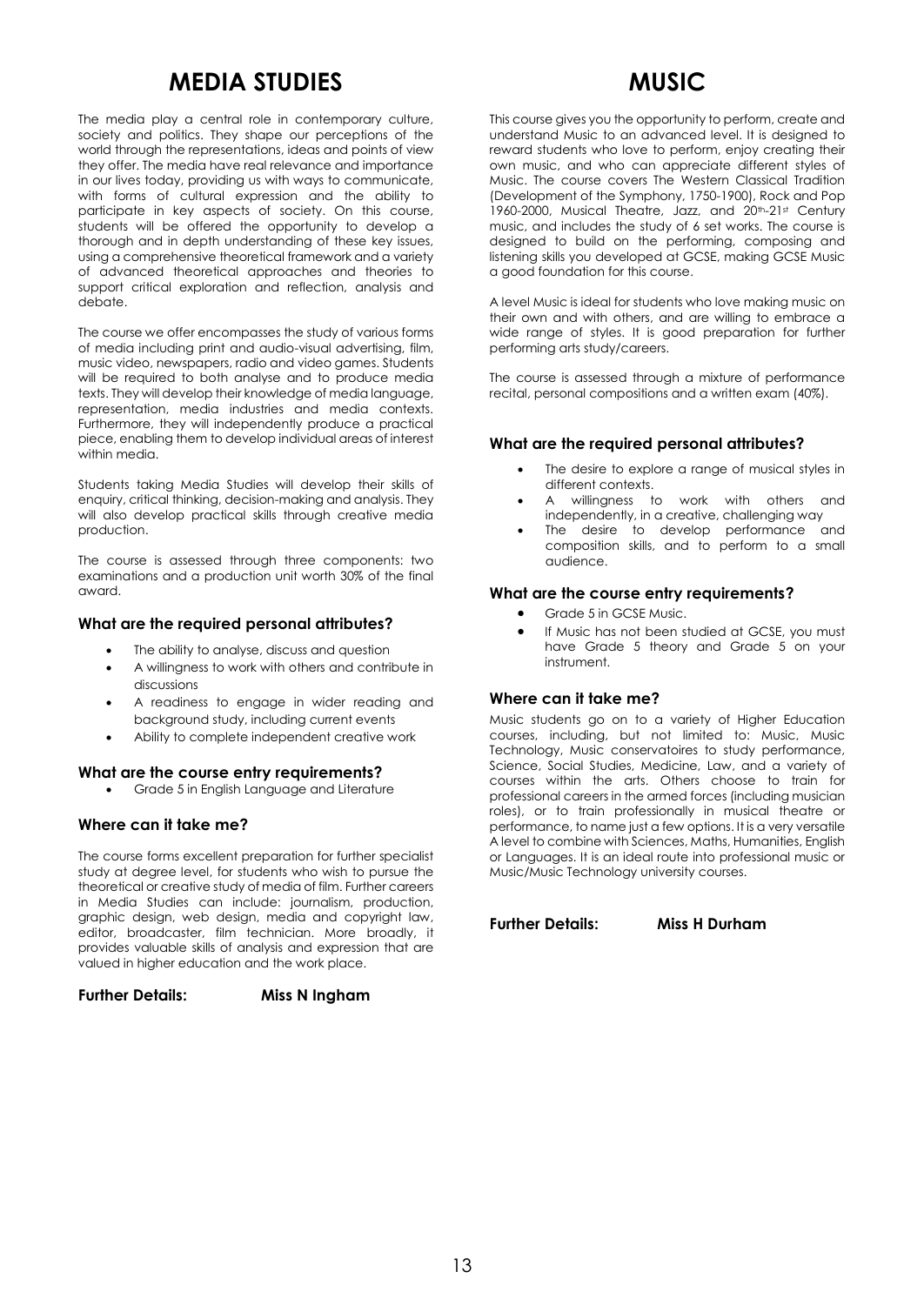# **MEDIA STUDIES**

The media play a central role in contemporary culture, society and politics. They shape our perceptions of the world through the representations, ideas and points of view they offer. The media have real relevance and importance in our lives today, providing us with ways to communicate, with forms of cultural expression and the ability to participate in key aspects of society. On this course, students will be offered the opportunity to develop a thorough and in depth understanding of these key issues, using a comprehensive theoretical framework and a variety of advanced theoretical approaches and theories to support critical exploration and reflection, analysis and debate.

The course we offer encompasses the study of various forms of media including print and audio-visual advertising, film, music video, newspapers, radio and video games. Students will be required to both analyse and to produce media texts. They will develop their knowledge of media language, representation, media industries and media contexts. Furthermore, they will independently produce a practical piece, enabling them to develop individual areas of interest within media.

Students taking Media Studies will develop their skills of enquiry, critical thinking, decision-making and analysis. They will also develop practical skills through creative media production.

The course is assessed through three components: two examinations and a production unit worth 30% of the final award.

### **What are the required personal attributes?**

- The ability to analyse, discuss and question
- A willingness to work with others and contribute in discussions
- A readiness to engage in wider reading and background study, including current events
- Ability to complete independent creative work

#### **What are the course entry requirements?**

Grade 5 in English Language and Literature

# **Where can it take me?**

The course forms excellent preparation for further specialist study at degree level, for students who wish to pursue the theoretical or creative study of media of film. Further careers in Media Studies can include: journalism, production, graphic design, web design, media and copyright law, editor, broadcaster, film technician. More broadly, it provides valuable skills of analysis and expression that are valued in higher education and the work place.

**Further Details: Miss N Ingham**

# **MUSIC**

This course gives you the opportunity to perform, create and understand Music to an advanced level. It is designed to reward students who love to perform, enjoy creating their own music, and who can appreciate different styles of Music. The course covers The Western Classical Tradition (Development of the Symphony, 1750-1900), Rock and Pop 1960-2000, Musical Theatre, Jazz, and 20<sup>th</sup>-21st Century music, and includes the study of 6 set works. The course is designed to build on the performing, composing and listening skills you developed at GCSE, making GCSE Music a good foundation for this course.

A level Music is ideal for students who love making music on their own and with others, and are willing to embrace a wide range of styles. It is good preparation for further performing arts study/careers.

The course is assessed through a mixture of performance recital, personal compositions and a written exam (40%).

# **What are the required personal attributes?**

- The desire to explore a range of musical styles in different contexts.
- A willingness to work with others and independently, in a creative, challenging way
- The desire to develop performance and composition skills, and to perform to a small audience.

### **What are the course entry requirements?**

- Grade 5 in GCSE Music.
- If Music has not been studied at GCSE, you must have Grade 5 theory and Grade 5 on your instrument.

# **Where can it take me?**

Music students go on to a variety of Higher Education courses, including, but not limited to: Music, Music Technology, Music conservatoires to study performance, Science, Social Studies, Medicine, Law, and a variety of courses within the arts. Others choose to train for professional careers in the armed forces (including musician roles), or to train professionally in musical theatre or performance, to name just a few options. It is a very versatile A level to combine with Sciences, Maths, Humanities, English or Languages. It is an ideal route into professional music or Music/Music Technology university courses.

**Further Details: Miss H Durham**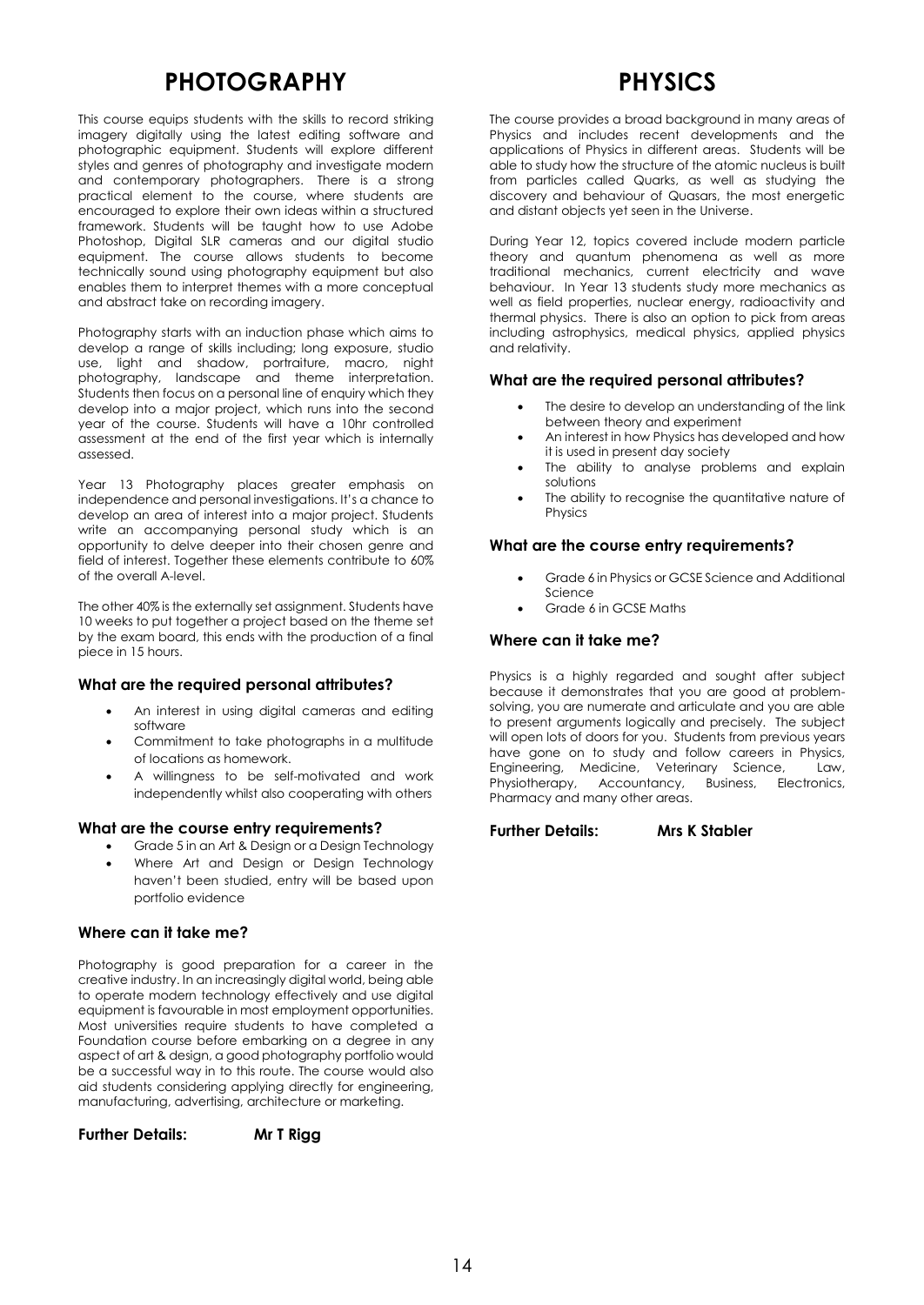# **PHOTOGRAPHY**

This course equips students with the skills to record striking imagery digitally using the latest editing software and photographic equipment. Students will explore different styles and genres of photography and investigate modern and contemporary photographers. There is a strong practical element to the course, where students are encouraged to explore their own ideas within a structured framework. Students will be taught how to use Adobe Photoshop, Digital SLR cameras and our digital studio equipment. The course allows students to become technically sound using photography equipment but also enables them to interpret themes with a more conceptual and abstract take on recording imagery.

Photography starts with an induction phase which aims to develop a range of skills including; long exposure, studio use, light and shadow, portraiture, macro, night photography, landscape and theme interpretation. Students then focus on a personal line of enquiry which they develop into a major project, which runs into the second year of the course. Students will have a 10hr controlled assessment at the end of the first year which is internally assessed.

Year 13 Photography places greater emphasis on independence and personal investigations. It's a chance to develop an area of interest into a major project. Students write an accompanying personal study which is an opportunity to delve deeper into their chosen genre and field of interest. Together these elements contribute to 60% of the overall A-level.

The other 40% is the externally set assignment. Students have 10 weeks to put together a project based on the theme set by the exam board, this ends with the production of a final piece in 15 hours.

# **What are the required personal attributes?**

- An interest in using digital cameras and editing software
- Commitment to take photographs in a multitude of locations as homework.
- A willingness to be self-motivated and work independently whilst also cooperating with others

#### **What are the course entry requirements?**

- Grade 5 in an Art & Design or a Design Technology
- Where Art and Design or Design Technology haven't been studied, entry will be based upon portfolio evidence

# **Where can it take me?**

Photography is good preparation for a career in the creative industry. In an increasingly digital world, being able to operate modern technology effectively and use digital equipment is favourable in most employment opportunities. Most universities require students to have completed a Foundation course before embarking on a degree in any aspect of art & design, a good photography portfolio would be a successful way in to this route. The course would also aid students considering applying directly for engineering, manufacturing, advertising, architecture or marketing.

**Further Details: Mr T Rigg**

# **PHYSICS**

The course provides a broad background in many areas of Physics and includes recent developments and the applications of Physics in different areas. Students will be able to study how the structure of the atomic nucleus is built from particles called Quarks, as well as studying the discovery and behaviour of Quasars, the most energetic and distant objects yet seen in the Universe.

During Year 12, topics covered include modern particle theory and quantum phenomena as well as more traditional mechanics, current electricity and wave behaviour. In Year 13 students study more mechanics as well as field properties, nuclear energy, radioactivity and thermal physics. There is also an option to pick from areas including astrophysics, medical physics, applied physics and relativity.

### **What are the required personal attributes?**

- The desire to develop an understanding of the link between theory and experiment
- An interest in how Physics has developed and how it is used in present day society
- The ability to analyse problems and explain solutions
- The ability to recognise the quantitative nature of Physics

#### **What are the course entry requirements?**

- Grade 6 in Physics or GCSE Science and Additional Science
- Grade 6 in GCSE Maths

# **Where can it take me?**

Physics is a highly regarded and sought after subject because it demonstrates that you are good at problemsolving, you are numerate and articulate and you are able to present arguments logically and precisely. The subject will open lots of doors for you. Students from previous years have gone on to study and follow careers in Physics, Engineering, Medicine, Veterinary Science, Law, Physiotherapy, Accountancy, Business, Electronics, Pharmacy and many other areas.

#### **Further Details: Mrs K Stabler**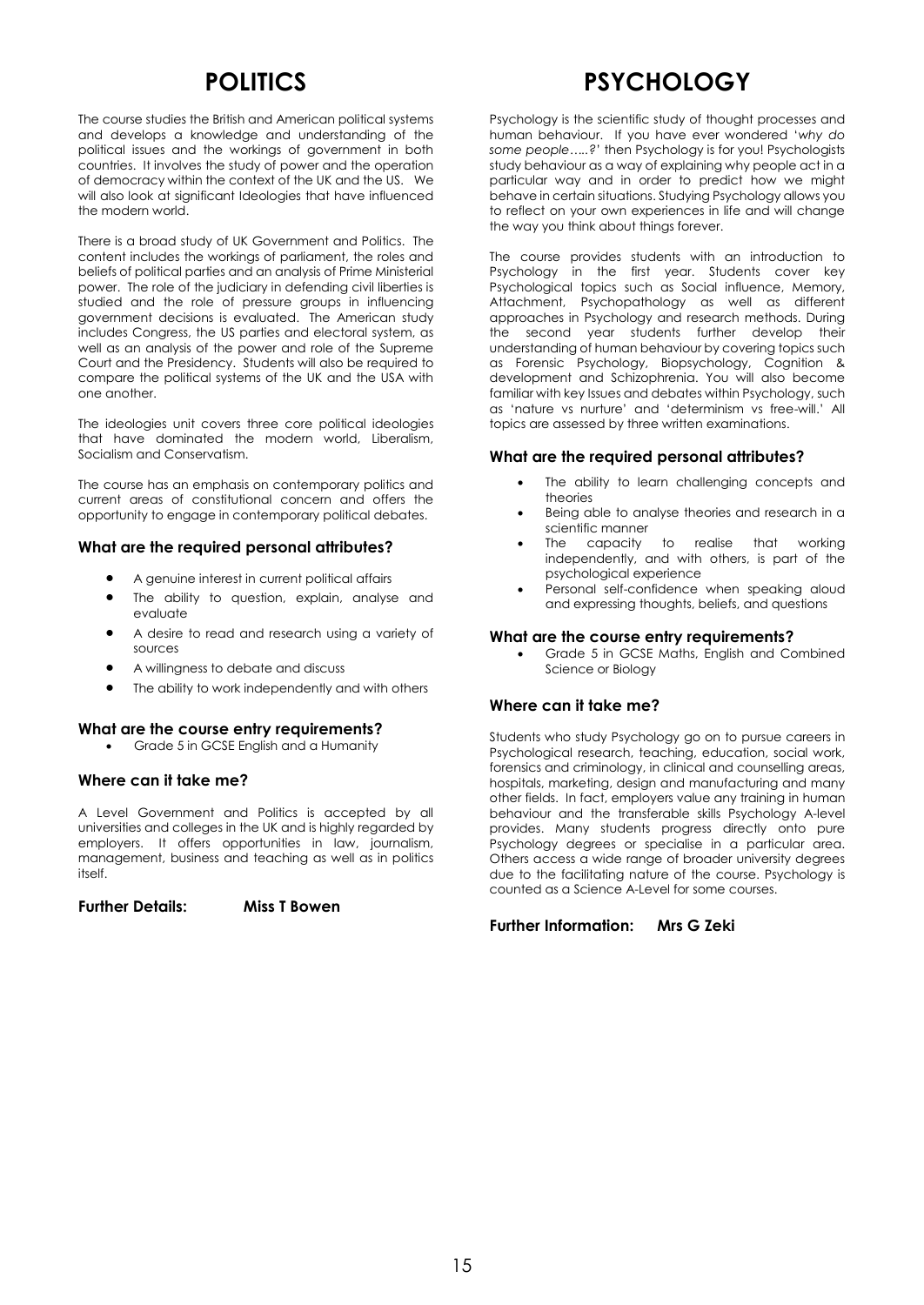# **POLITICS**

The course studies the British and American political systems and develops a knowledge and understanding of the political issues and the workings of government in both countries. It involves the study of power and the operation of democracy within the context of the UK and the US. We will also look at significant Ideologies that have influenced the modern world.

There is a broad study of UK Government and Politics. The content includes the workings of parliament, the roles and beliefs of political parties and an analysis of Prime Ministerial power. The role of the judiciary in defending civil liberties is studied and the role of pressure groups in influencing government decisions is evaluated. The American study includes Congress, the US parties and electoral system, as well as an analysis of the power and role of the Supreme Court and the Presidency. Students will also be required to compare the political systems of the UK and the USA with one another.

The ideologies unit covers three core political ideologies that have dominated the modern world, Liberalism, Socialism and Conservatism.

The course has an emphasis on contemporary politics and current areas of constitutional concern and offers the opportunity to engage in contemporary political debates.

# **What are the required personal attributes?**

- A genuine interest in current political affairs
- The ability to question, explain, analyse and evaluate
- A desire to read and research using a variety of sources
- A willingness to debate and discuss
- The ability to work independently and with others

#### **What are the course entry requirements?**

Grade 5 in GCSE English and a Humanity

# **Where can it take me?**

A Level Government and Politics is accepted by all universities and colleges in the UK and is highly regarded by employers. It offers opportunities in law, journalism, management, business and teaching as well as in politics itself.

**Further Details: Miss T Bowen**

# **PSYCHOLOGY**

Psychology is the scientific study of thought processes and human behaviour. If you have ever wondered '*why do some people…..?*' then Psychology is for you! Psychologists study behaviour as a way of explaining why people act in a particular way and in order to predict how we might behave in certain situations. Studying Psychology allows you to reflect on your own experiences in life and will change the way you think about things forever.

The course provides students with an introduction to Psychology in the first year. Students cover key Psychological topics such as Social influence, Memory, Attachment, Psychopathology as well as different approaches in Psychology and research methods. During the second year students further develop their understanding of human behaviour by covering topics such as Forensic Psychology, Biopsychology, Cognition & development and Schizophrenia. You will also become familiar with key Issues and debates within Psychology, such as 'nature vs nurture' and 'determinism vs free-will.' All topics are assessed by three written examinations.

### **What are the required personal attributes?**

- The ability to learn challenging concepts and theories
- Being able to analyse theories and research in a scientific manner
- The capacity to realise that working independently, and with others, is part of the psychological experience
- Personal self-confidence when speaking aloud and expressing thoughts, beliefs, and questions

### **What are the course entry requirements?**

 Grade 5 in GCSE Maths, English and Combined Science or Biology

# **Where can it take me?**

Students who study Psychology go on to pursue careers in Psychological research, teaching, education, social work, forensics and criminology, in clinical and counselling areas, hospitals, marketing, design and manufacturing and many other fields. In fact, employers value any training in human behaviour and the transferable skills Psychology A-level provides. Many students progress directly onto pure Psychology degrees or specialise in a particular area. Others access a wide range of broader university degrees due to the facilitating nature of the course. Psychology is counted as a Science A-Level for some courses.

#### **Further Information: Mrs G Zeki**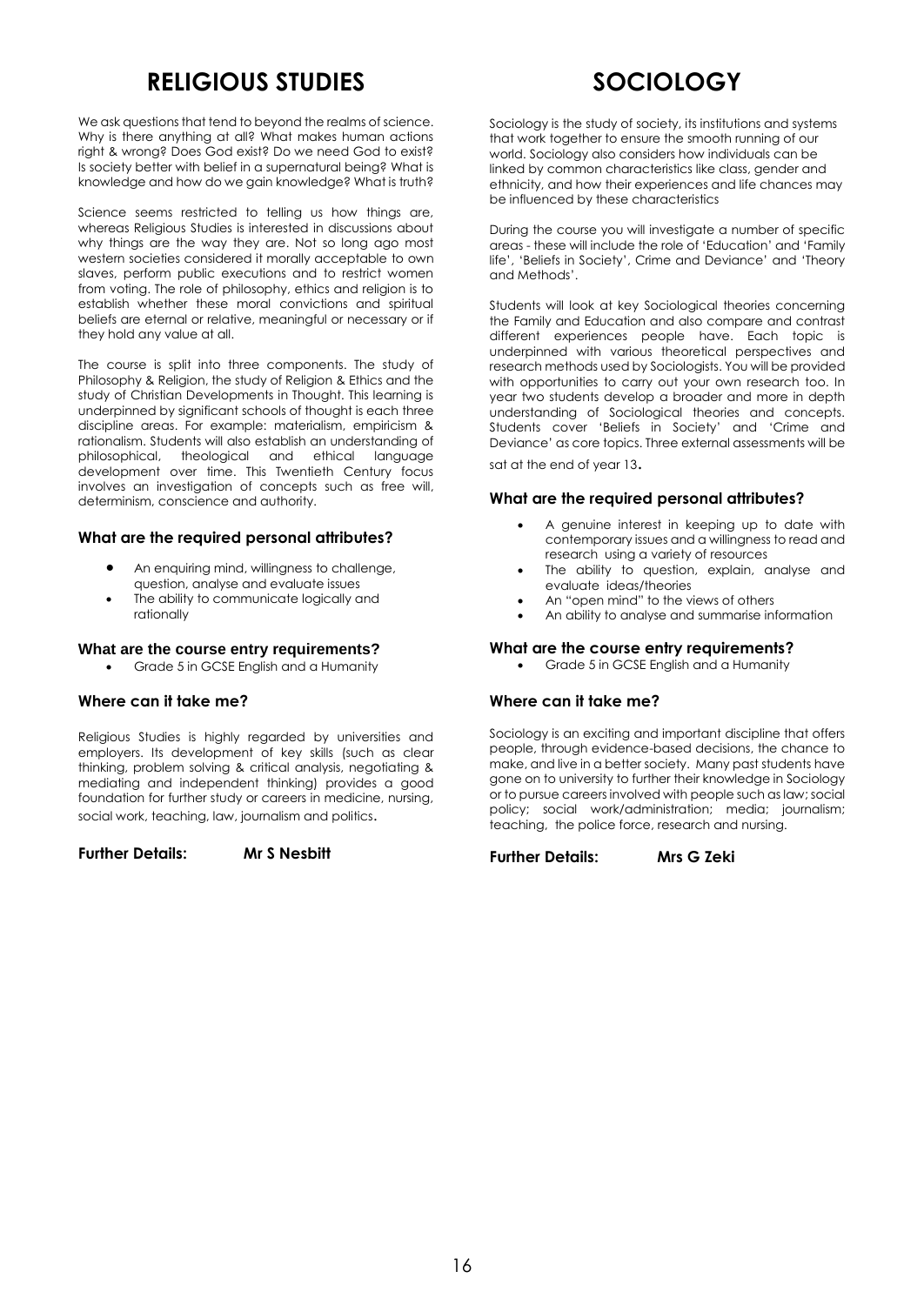# **RELIGIOUS STUDIES**

We ask questions that tend to beyond the realms of science. Why is there anything at all? What makes human actions right & wrong? Does God exist? Do we need God to exist? Is society better with belief in a supernatural being? What is knowledge and how do we gain knowledge? What is truth?

Science seems restricted to telling us how things are, whereas Religious Studies is interested in discussions about why things are the way they are. Not so long ago most western societies considered it morally acceptable to own slaves, perform public executions and to restrict women from voting. The role of philosophy, ethics and religion is to establish whether these moral convictions and spiritual beliefs are eternal or relative, meaningful or necessary or if they hold any value at all.

The course is split into three components. The study of Philosophy & Religion, the study of Religion & Ethics and the study of Christian Developments in Thought. This learning is underpinned by significant schools of thought is each three discipline areas. For example: materialism, empiricism & rationalism. Students will also establish an understanding of philosophical, theological and ethical language development over time. This Twentieth Century focus involves an investigation of concepts such as free will, determinism, conscience and authority.

# **What are the required personal attributes?**

- An enquiring mind, willingness to challenge, question, analyse and evaluate issues
- The ability to communicate logically and rationally

### **What are the course entry requirements?**

• Grade 5 in GCSE English and a Humanity

# **Where can it take me?**

Religious Studies is highly regarded by universities and employers. Its development of key skills (such as clear thinking, problem solving & critical analysis, negotiating & mediating and independent thinking) provides a good foundation for further study or careers in medicine, nursing, social work, teaching, law, journalism and politics.

# **Further Details: Mr S Nesbitt**

**SOCIOLOGY**

Sociology is the study of society, its institutions and systems that work together to ensure the smooth running of our world. Sociology also considers how individuals can be linked by common characteristics like class, gender and ethnicity, and how their experiences and life chances may be influenced by these characteristics

During the course you will investigate a number of specific areas - these will include the role of 'Education' and 'Family life', 'Beliefs in Society', Crime and Deviance' and 'Theory and Methods'.

Students will look at key Sociological theories concerning the Family and Education and also compare and contrast different experiences people have. Each topic is underpinned with various theoretical perspectives and research methods used by Sociologists. You will be provided with opportunities to carry out your own research too. In year two students develop a broader and more in depth understanding of Sociological theories and concepts. Students cover 'Beliefs in Society' and 'Crime and Deviance' as core topics. Three external assessments will be

sat at the end of year 13.

# **What are the required personal attributes?**

- A genuine interest in keeping up to date with contemporary issues and a willingness to read and research using a variety of resources
- The ability to question, explain, analyse and evaluate ideas/theories
- An "open mind" to the views of others
	- An ability to analyse and summarise information

# **What are the course entry requirements?**

Grade 5 in GCSE English and a Humanity

# **Where can it take me?**

Sociology is an exciting and important discipline that offers people, through evidence-based decisions, the chance to make, and live in a better society. Many past students have gone on to university to further their knowledge in Sociology or to pursue careers involved with people such as law; social policy; social work/administration; media; journalism; teaching, the police force, research and nursing.

**Further Details: Mrs G Zeki**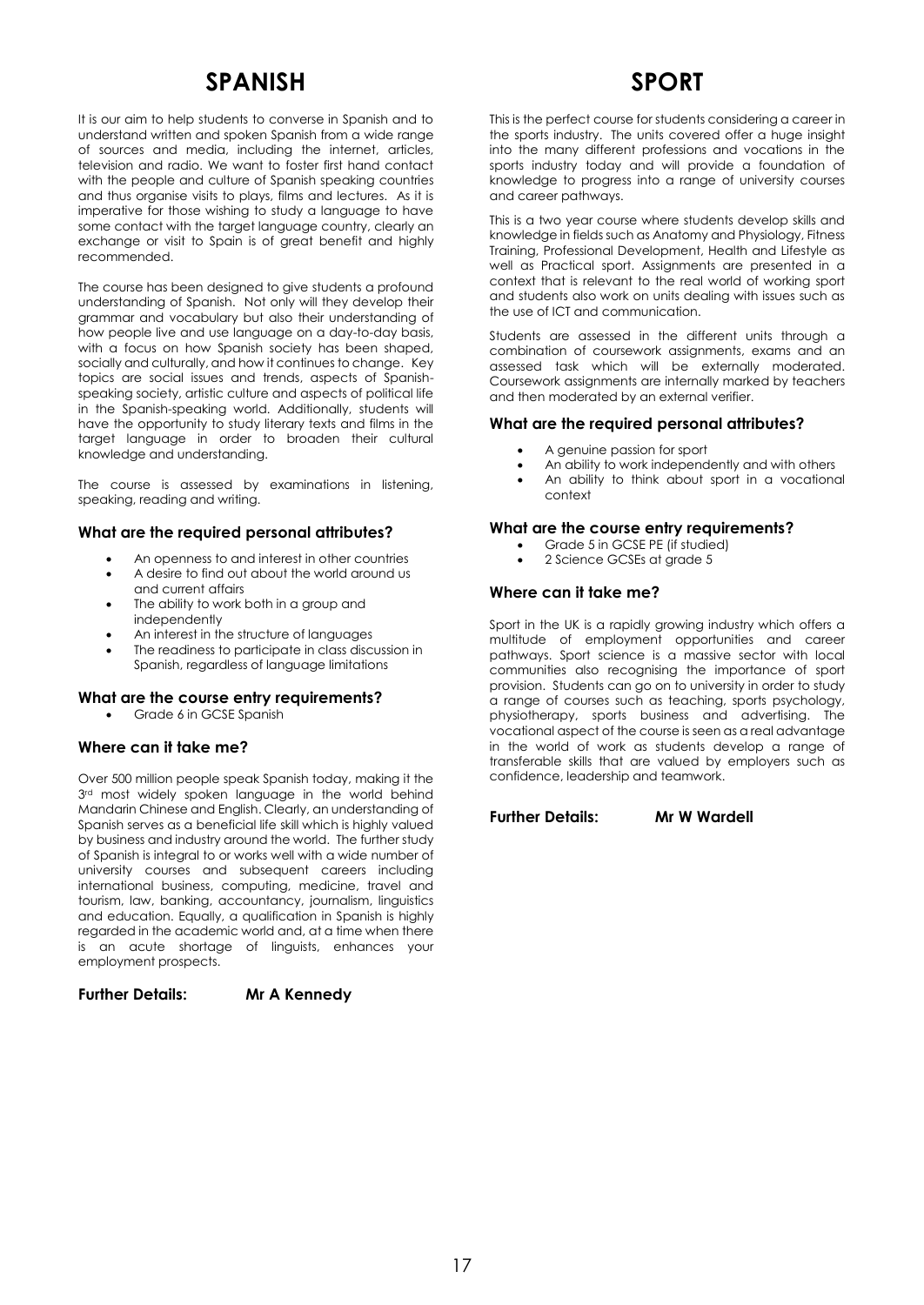# **SPANISH**

It is our aim to help students to converse in Spanish and to understand written and spoken Spanish from a wide range of sources and media, including the internet, articles, television and radio. We want to foster first hand contact with the people and culture of Spanish speaking countries and thus organise visits to plays, films and lectures. As it is imperative for those wishing to study a language to have some contact with the target language country, clearly an exchange or visit to Spain is of great benefit and highly recommended.

The course has been designed to give students a profound understanding of Spanish. Not only will they develop their grammar and vocabulary but also their understanding of how people live and use language on a day-to-day basis, with a focus on how Spanish society has been shaped, socially and culturally, and how it continues to change. Key topics are social issues and trends, aspects of Spanishspeaking society, artistic culture and aspects of political life in the Spanish-speaking world. Additionally, students will have the opportunity to study literary texts and films in the target language in order to broaden their cultural knowledge and understanding.

The course is assessed by examinations in listening, speaking, reading and writing.

# **What are the required personal attributes?**

- An openness to and interest in other countries
- A desire to find out about the world around us and current affairs
- The ability to work both in a group and independently
- An interest in the structure of languages
- The readiness to participate in class discussion in Spanish, regardless of language limitations

#### **What are the course entry requirements?**

Grade 6 in GCSE Spanish

# **Where can it take me?**

Over 500 million people speak Spanish today, making it the 3rd most widely spoken language in the world behind Mandarin Chinese and English. Clearly, an understanding of Spanish serves as a beneficial life skill which is highly valued by business and industry around the world. The further study of Spanish is integral to or works well with a wide number of university courses and subsequent careers including international business, computing, medicine, travel and tourism, law, banking, accountancy, journalism, linguistics and education. Equally, a qualification in Spanish is highly regarded in the academic world and, at a time when there is an acute shortage of linguists, enhances your employment prospects.

# **Further Details: Mr A Kennedy**

# **SPORT**

This is the perfect course for students considering a career in the sports industry. The units covered offer a huge insight into the many different professions and vocations in the sports industry today and will provide a foundation of knowledge to progress into a range of university courses and career pathways.

This is a two year course where students develop skills and knowledge in fields such as Anatomy and Physiology, Fitness Training, Professional Development, Health and Lifestyle as well as Practical sport. Assignments are presented in a context that is relevant to the real world of working sport and students also work on units dealing with issues such as the use of ICT and communication.

Students are assessed in the different units through a combination of coursework assignments, exams and an assessed task which will be externally moderated. Coursework assignments are internally marked by teachers and then moderated by an external verifier.

# **What are the required personal attributes?**

- A genuine passion for sport
- An ability to work independently and with others
- An ability to think about sport in a vocational context

# **What are the course entry requirements?**

- Grade 5 in GCSE PE (if studied)
- 2 Science GCSEs at grade 5

### **Where can it take me?**

Sport in the UK is a rapidly growing industry which offers a multitude of employment opportunities and career pathways. Sport science is a massive sector with local communities also recognising the importance of sport provision. Students can go on to university in order to study a range of courses such as teaching, sports psychology, physiotherapy, sports business and advertising. The vocational aspect of the course is seen as a real advantage in the world of work as students develop a range of transferable skills that are valued by employers such as confidence, leadership and teamwork.

**Further Details: Mr W Wardell**

17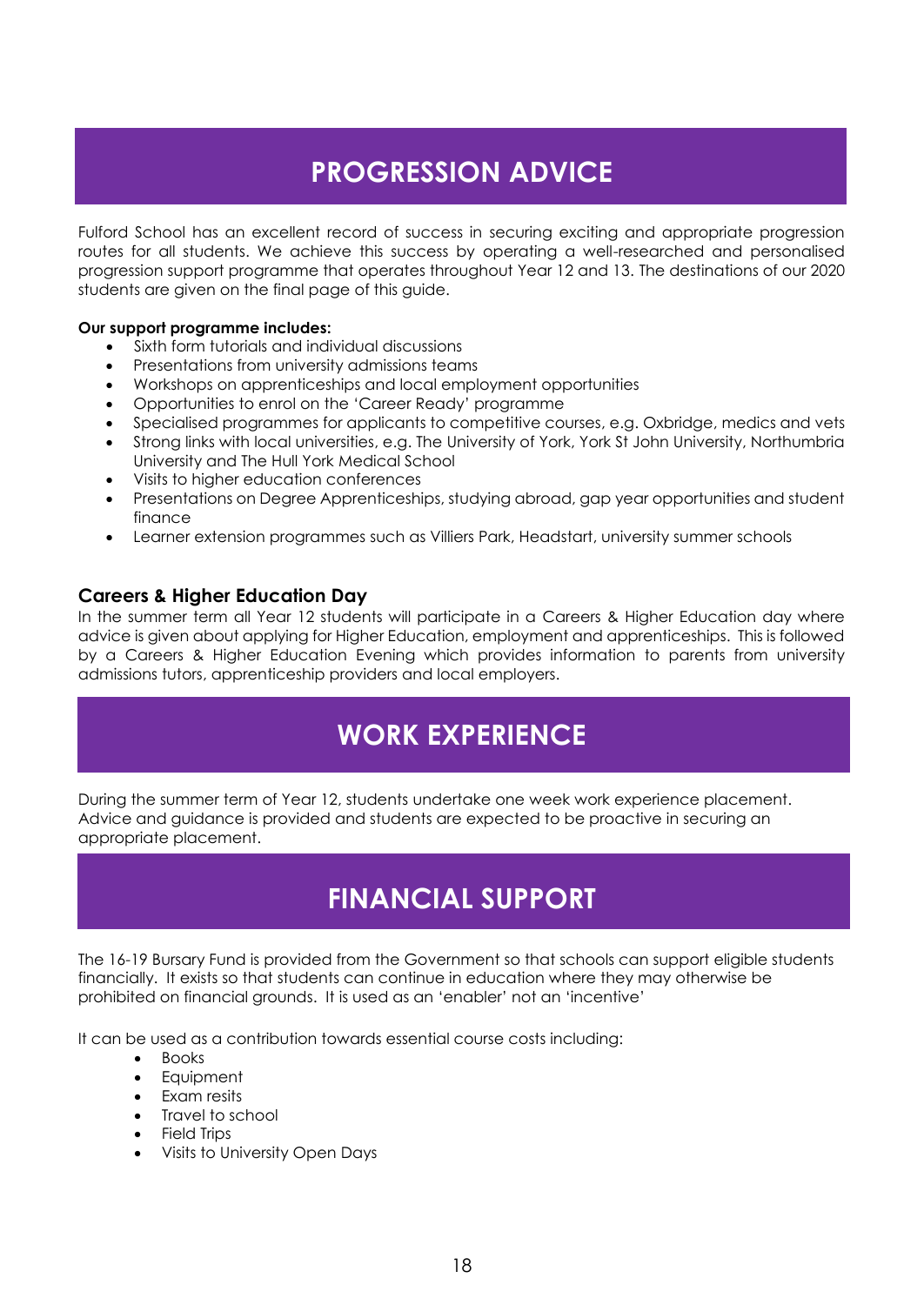# **PROGRESSION ADVICE**

Fulford School has an excellent record of success in securing exciting and appropriate progression routes for all students. We achieve this success by operating a well-researched and personalised progression support programme that operates throughout Year 12 and 13. The destinations of our 2020 students are given on the final page of this guide.

# **Our support programme includes:**

- Sixth form tutorials and individual discussions
- Presentations from university admissions teams
- Workshops on apprenticeships and local employment opportunities
- Opportunities to enrol on the 'Career Ready' programme
- Specialised programmes for applicants to competitive courses, e.g. Oxbridge, medics and vets
- Strong links with local universities, e.g. The University of York, York St John University, Northumbria University and The Hull York Medical School
- Visits to higher education conferences
- Presentations on Degree Apprenticeships, studying abroad, gap year opportunities and student finance
- Learner extension programmes such as Villiers Park, Headstart, university summer schools

# **Careers & Higher Education Day**

In the summer term all Year 12 students will participate in a Careers & Higher Education day where advice is given about applying for Higher Education, employment and apprenticeships. This is followed by a Careers & Higher Education Evening which provides information to parents from university admissions tutors, apprenticeship providers and local employers.

# **WORK EXPERIENCE**

During the summer term of Year 12, students undertake one week work experience placement. Advice and guidance is provided and students are expected to be proactive in securing an appropriate placement.

# **FINANCIAL SUPPORT**

The 16-19 Bursary Fund is provided from the Government so that schools can support eligible students financially. It exists so that students can continue in education where they may otherwise be prohibited on financial grounds. It is used as an 'enabler' not an 'incentive'

It can be used as a contribution towards essential course costs including:

- Books
- **Equipment**
- Exam resits
- Travel to school
- Field Trips
- Visits to University Open Days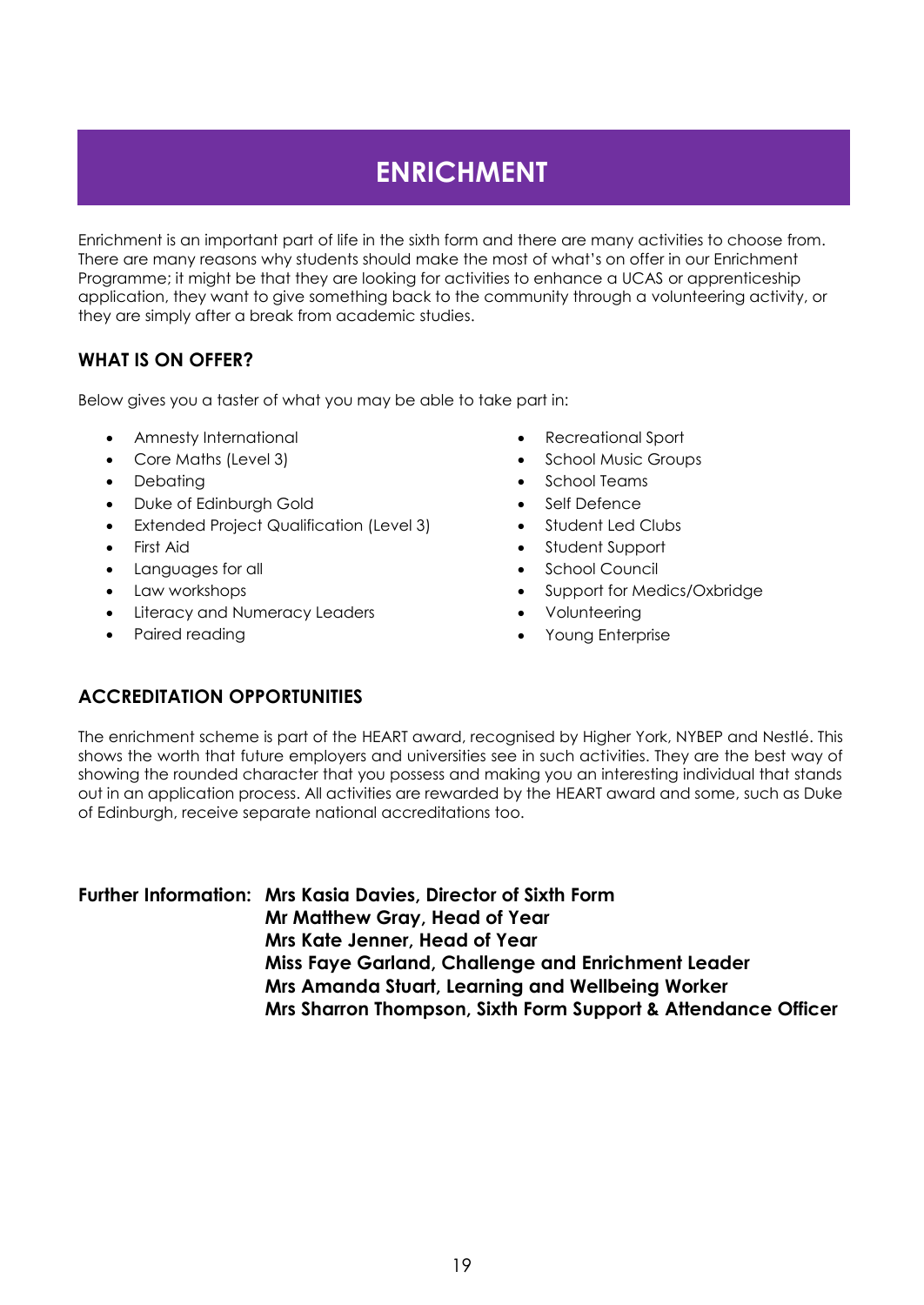# **ENRICHMENT**

Enrichment is an important part of life in the sixth form and there are many activities to choose from. There are many reasons why students should make the most of what's on offer in our Enrichment Programme; it might be that they are looking for activities to enhance a UCAS or apprenticeship application, they want to give something back to the community through a volunteering activity, or they are simply after a break from academic studies.

# **WHAT IS ON OFFER?**

Below gives you a taster of what you may be able to take part in:

- Amnesty International
- Core Maths (Level 3)
- Debating
- Duke of Edinburgh Gold
- Extended Project Qualification (Level 3)
- First Aid
- Languages for all
- Law workshops
- Literacy and Numeracy Leaders
- Paired reading
- Recreational Sport
- School Music Groups
- School Teams
- Self Defence
- Student Led Clubs
- Student Support
- School Council
- Support for Medics/Oxbridge
- Volunteering
- Young Enterprise

# **ACCREDITATION OPPORTUNITIES**

The enrichment scheme is part of the HEART award, recognised by Higher York, NYBEP and Nestlé. This shows the worth that future employers and universities see in such activities. They are the best way of showing the rounded character that you possess and making you an interesting individual that stands out in an application process. All activities are rewarded by the HEART award and some, such as Duke of Edinburgh, receive separate national accreditations too.

**Further Information: Mrs Kasia Davies, Director of Sixth Form Mr Matthew Gray, Head of Year Mrs Kate Jenner, Head of Year Miss Faye Garland, Challenge and Enrichment Leader Mrs Amanda Stuart, Learning and Wellbeing Worker Mrs Sharron Thompson, Sixth Form Support & Attendance Officer**